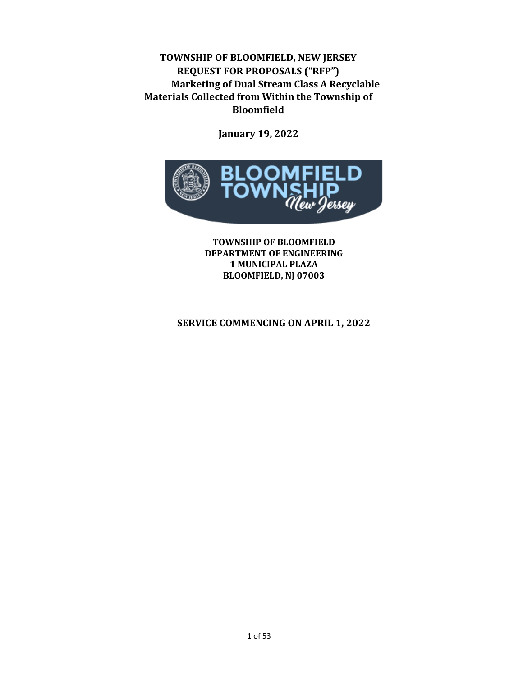### **TOWNSHIP OF BLOOMFIELD, NEW JERSEY REQUEST FOR PROPOSALS ("RFP") Marketing of Dual Stream Class A Recyclable Materials Collected from Within the Township of Bloomfield**

**January 19, 2022**



**TOWNSHIP OF BLOOMFIELD DEPARTMENT OF ENGINEERING 1 MUNICIPAL PLAZA** BLOOMFIELD, NJ 07003

#### **SERVICE COMMENCING ON APRIL 1, 2022**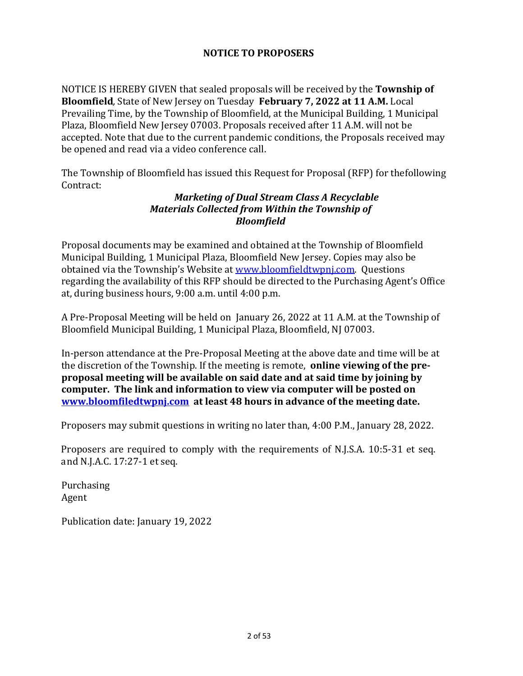#### **NOTICE TO PROPOSERS**

NOTICE IS HEREBY GIVEN that sealed proposals will be received by the **Township of Bloomfield**, State of New Jersey on Tuesday February 7, 2022 at 11 A.M. Local Prevailing Time, by the Township of Bloomfield, at the Municipal Building, 1 Municipal Plaza, Bloomfield New Jersey 07003. Proposals received after 11 A.M. will not be accepted. Note that due to the current pandemic conditions, the Proposals received may be opened and read via a video conference call.

The Township of Bloomfield has issued this Request for Proposal (RFP) for thefollowing Contract:

#### *Marketing of Dual Stream Class A Recyclable Materials Collected from Within the Township of Bloomfield*

Proposal documents may be examined and obtained at the Township of Bloomfield Municipal Building, 1 Municipal Plaza, Bloomfield New Jersey. Copies may also be obtained via the Township's Website at www.bloomfieldtwpnj.com. Questions regarding the availability of this RFP should be directed to the Purchasing Agent's Office at, during business hours, 9:00 a.m. until 4:00 p.m.

A Pre-Proposal Meeting will be held on January 26, 2022 at 11 A.M. at the Township of Bloomfield Municipal Building, 1 Municipal Plaza, Bloomfield, NJ 07003.

In-person attendance at the Pre-Proposal Meeting at the above date and time will be at the discretion of the Township. If the meeting is remote, **online viewing of the preproposal meeting will be available on said date and at said time by joining by computer.** The link and information to view via computer will be posted on **www.bloomfiledtwpnj.com** at least 48 hours in advance of the meeting date.

Proposers may submit questions in writing no later than, 4:00 P.M., January 28, 2022.

Proposers are required to comply with the requirements of N.J.S.A. 10:5-31 et seq. and N.J.A.C. 17:27-1 et seq.

Purchasing Agent

Publication date: January 19, 2022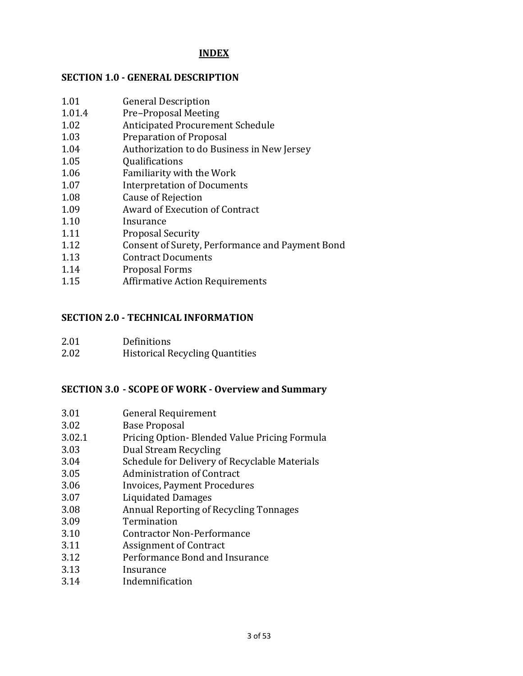#### **INDEX**

#### **SECTION 1.0 - GENERAL DESCRIPTION**

- 1.01 General Description
- 1.01.4 Pre–Proposal Meeting
- 1.02 Anticipated Procurement Schedule
- 1.03 Preparation of Proposal
- 1.04 Authorization to do Business in New Jersey
- 1.05 Qualifications
- 1.06 Familiarity with the Work
- 1.07 Interpretation of Documents
- 1.08 Cause of Rejection
- 1.09 Award of Execution of Contract
- 1.10 Insurance
- 1.11 Proposal Security
- 1.12 Consent of Surety, Performance and Payment Bond
- 1.13 Contract Documents
- 1.14 Proposal Forms
- 1.15 Affirmative Action Requirements

#### **SECTION 2.0 - TECHNICAL INFORMATION**

| 2.01 | <b>Definitions</b>                     |
|------|----------------------------------------|
| 2.02 | <b>Historical Recycling Quantities</b> |

#### **SECTION 3.0 - SCOPE OF WORK - Overview and Summary**

- 3.01 General Requirement
- 3.02 Base Proposal
- 3.02.1 Pricing Option- Blended Value Pricing Formula
- 3.03 Dual Stream Recycling
- 3.04 Schedule for Delivery of Recyclable Materials
- 3.05 Administration of Contract
- 3.06 Invoices, Payment Procedures
- 3.07 Liquidated Damages
- 3.08 Annual Reporting of Recycling Tonnages
- 3.09 Termination
- 3.10 Contractor Non-Performance
- 3.11 Assignment of Contract
- 3.12 Performance Bond and Insurance
- 3.13 Insurance
- 3.14 Indemnification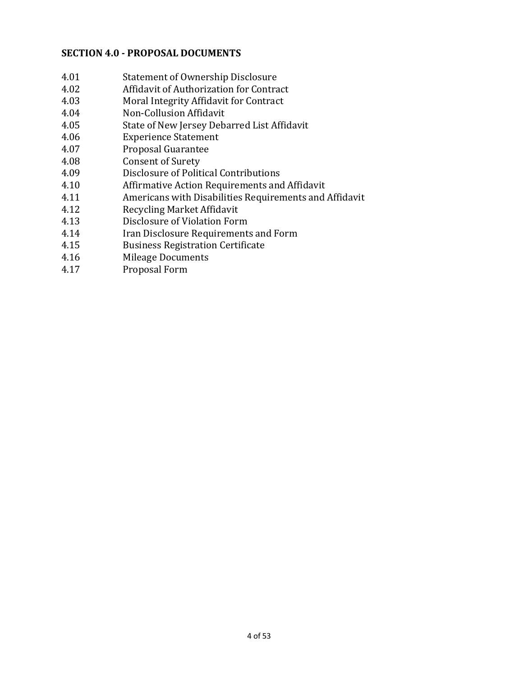#### **SECTION 4.0 - PROPOSAL DOCUMENTS**

- 4.01 Statement of Ownership Disclosure
- 4.02 Affidavit of Authorization for Contract
- 4.03 Moral Integrity Affidavit for Contract
- 4.04 Non-Collusion Affidavit
- 4.05 State of New Jersey Debarred List Affidavit
- 4.06 Experience Statement
- 4.07 Proposal Guarantee
- 4.08 Consent of Surety
- 4.09 Disclosure of Political Contributions
- 4.10 Affirmative Action Requirements and Affidavit
- 4.11 Americans with Disabilities Requirements and Affidavit
- 4.12 Recycling Market Affidavit
- 4.13 Disclosure of Violation Form
- 4.14 Iran Disclosure Requirements and Form
- 4.15 Business Registration Certificate
- 4.16 Mileage Documents
- 4.17 Proposal Form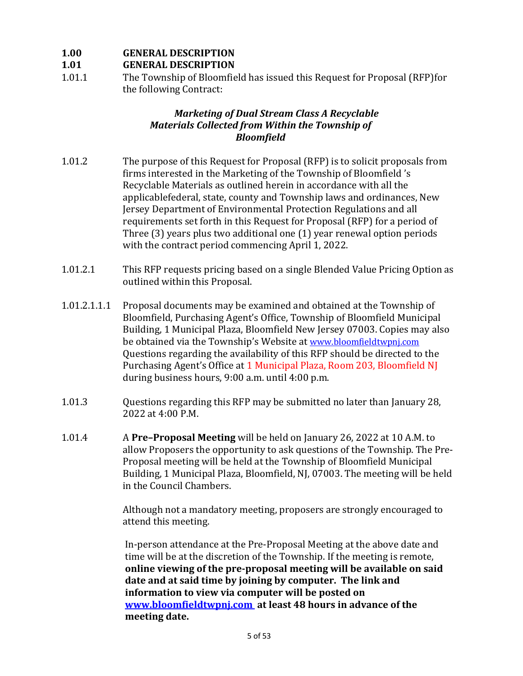### **1.00 GENERAL DESCRIPTION**

### **1.01 GENERAL DESCRIPTION**

1.01.1 The Township of Bloomfield has issued this Request for Proposal (RFP)for the following Contract:

#### **Marketing of Dual Stream Class A Recyclable** *Materials Collected from Within the Township of Bloomfield*

- 1.01.2 The purpose of this Request for Proposal (RFP) is to solicit proposals from firms interested in the Marketing of the Township of Bloomfield's Recyclable Materials as outlined herein in accordance with all the applicablefederal, state, county and Township laws and ordinances, New Jersey Department of Environmental Protection Regulations and all requirements set forth in this Request for Proposal (RFP) for a period of Three  $(3)$  years plus two additional one  $(1)$  year renewal option periods with the contract period commencing April 1, 2022.
- 1.01.2.1 This RFP requests pricing based on a single Blended Value Pricing Option as outlined within this Proposal.
- 1.01.2.1.1.1 Proposal documents may be examined and obtained at the Township of Bloomfield, Purchasing Agent's Office, Township of Bloomfield Municipal Building, 1 Municipal Plaza, Bloomfield New Jersey 07003. Copies may also be obtained via the Township's Website at www.bloomfieldtwpnj.com Questions regarding the availability of this RFP should be directed to the Purchasing Agent's Office at 1 Municipal Plaza, Room 203, Bloomfield NJ during business hours, 9:00 a.m. until 4:00 p.m.
- 1.01.3 Questions regarding this RFP may be submitted no later than January 28, 2022 at 4:00 P.M.
- 1.01.4 A **Pre-Proposal Meeting** will be held on January 26, 2022 at 10 A.M. to allow Proposers the opportunity to ask questions of the Township. The Pre-Proposal meeting will be held at the Township of Bloomfield Municipal Building, 1 Municipal Plaza, Bloomfield, NJ, 07003. The meeting will be held in the Council Chambers.

Although not a mandatory meeting, proposers are strongly encouraged to attend this meeting.

In-person attendance at the Pre-Proposal Meeting at the above date and time will be at the discretion of the Township. If the meeting is remote, online viewing of the pre-proposal meeting will be available on said date and at said time by joining by computer. The link and **information to view via computer will be posted on www.bloomfieldtwpnj.com** at least 48 hours in advance of the meeting date.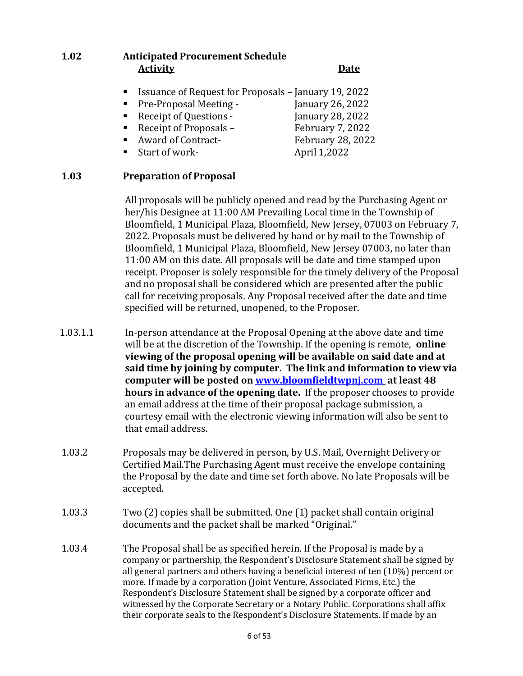### **1.02 Anticipated Procurement Schedule Activity Date**

- Issuance of Request for Proposals January 19, 2022
- Pre-Proposal Meeting January 26, 2022
- Receipt of Questions January 28, 2022
- Receipt of Proposals February 7, 2022
- Award of Contract- February 28, 2022
- Start of work-<br>
April 1,2022
- 
- 

### **1.03 Preparation of Proposal**

All proposals will be publicly opened and read by the Purchasing Agent or her/his Designee at 11:00 AM Prevailing Local time in the Township of Bloomfield, 1 Municipal Plaza, Bloomfield, New Jersey, 07003 on February 7, 2022. Proposals must be delivered by hand or by mail to the Township of Bloomfield, 1 Municipal Plaza, Bloomfield, New Jersey 07003, no later than 11:00 AM on this date. All proposals will be date and time stamped upon receipt. Proposer is solely responsible for the timely delivery of the Proposal and no proposal shall be considered which are presented after the public call for receiving proposals. Any Proposal received after the date and time specified will be returned, unopened, to the Proposer.

- 1.03.1.1 In-person attendance at the Proposal Opening at the above date and time will be at the discretion of the Township. If the opening is remote, **online viewing of the proposal opening will be available on said date and at** said time by joining by computer. The link and information to view via computer will be posted on **www.bloomfieldtwpnj.com** at least 48 **hours in advance of the opening date.** If the proposer chooses to provide an email address at the time of their proposal package submission, a courtesy email with the electronic viewing information will also be sent to that email address.
- 1.03.2 Proposals may be delivered in person, by U.S. Mail, Overnight Delivery or Certified Mail. The Purchasing Agent must receive the envelope containing the Proposal by the date and time set forth above. No late Proposals will be accepted.
- 1.03.3 Two (2) copies shall be submitted. One (1) packet shall contain original documents and the packet shall be marked "Original."
- 1.03.4 The Proposal shall be as specified herein. If the Proposal is made by a company or partnership, the Respondent's Disclosure Statement shall be signed by all general partners and others having a beneficial interest of ten  $(10\%)$  percent or more. If made by a corporation (Joint Venture, Associated Firms, Etc.) the Respondent's Disclosure Statement shall be signed by a corporate officer and witnessed by the Corporate Secretary or a Notary Public. Corporations shall affix their corporate seals to the Respondent's Disclosure Statements. If made by an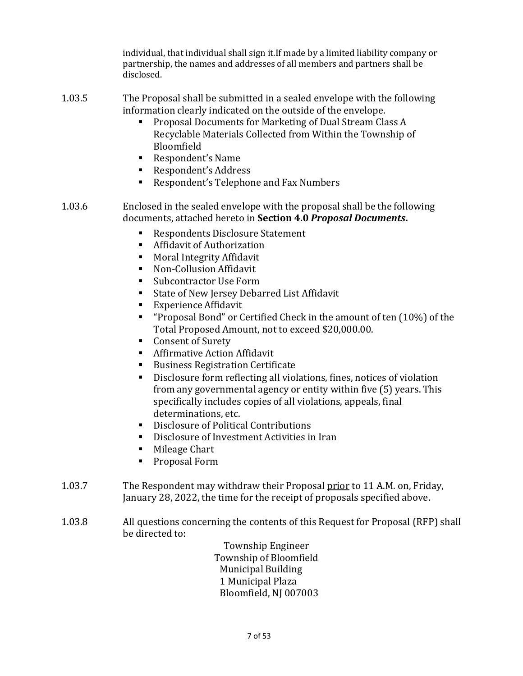individual, that individual shall sign it.If made by a limited liability company or partnership, the names and addresses of all members and partners shall be disclosed.

- 1.03.5 The Proposal shall be submitted in a sealed envelope with the following information clearly indicated on the outside of the envelope.
	- Proposal Documents for Marketing of Dual Stream Class A Recyclable Materials Collected from Within the Township of Bloomfield
	- ! Respondent's Name
	- Respondent's Address
	- ! Respondent's Telephone and Fax Numbers
- 1.03.6 Enclosed in the sealed envelope with the proposal shall be the following documents, attached hereto in **Section 4.0** *Proposal Documents***.**
	- Respondents Disclosure Statement
	- ! Affidavit of Authorization
	- ! Moral Integrity Affidavit
	- ! Non-Collusion Affidavit
	- Subcontractor Use Form
	- ! State of New Jersey Debarred List Affidavit
	- **Experience Affidavit**
	- **"** "Proposal Bond" or Certified Check in the amount of ten  $(10\%)$  of the Total Proposed Amount, not to exceed \$20,000.00.
	- Consent of Surety
	- ! Affirmative Action Affidavit
	- ! Business Registration Certificate
	- Disclosure form reflecting all violations, fines, notices of violation from any governmental agency or entity within five (5) years. This specifically includes copies of all violations, appeals, final determinations, etc.
	- ! Disclosure of Political Contributions
	- ! Disclosure of Investment Activities in Iran
	- **E** Mileage Chart
	- ! Proposal Form
- 1.03.7 The Respondent may withdraw their Proposal prior to 11 A.M. on, Friday, January 28, 2022, the time for the receipt of proposals specified above.
- 1.03.8 All questions concerning the contents of this Request for Proposal (RFP) shall be directed to:

Township Engineer Township of Bloomfield Municipal Building 1 Municipal Plaza Bloomfield, NJ 007003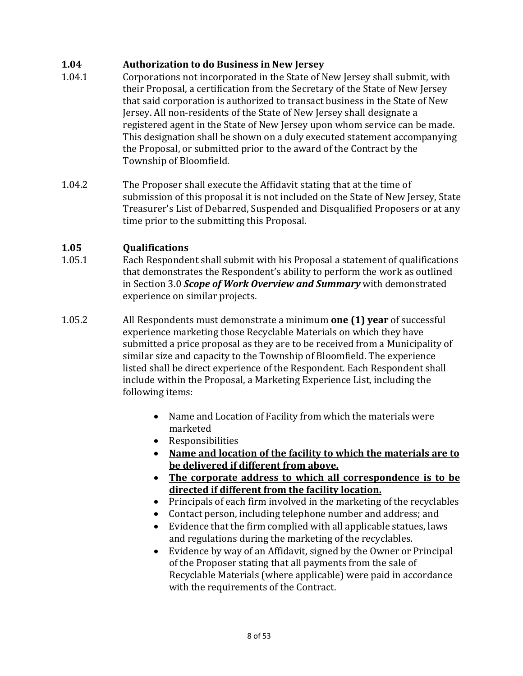### **1.04 Authorization to do Business in New Jersey**

- 1.04.1 Corporations not incorporated in the State of New Jersey shall submit, with their Proposal, a certification from the Secretary of the State of New Jersey that said corporation is authorized to transact business in the State of New Jersey. All non-residents of the State of New Jersey shall designate a registered agent in the State of New Jersey upon whom service can be made. This designation shall be shown on a duly executed statement accompanying the Proposal, or submitted prior to the award of the Contract by the Township of Bloomfield.
- 1.04.2 The Proposer shall execute the Affidavit stating that at the time of submission of this proposal it is not included on the State of New Jersey, State Treasurer's List of Debarred, Suspended and Disqualified Proposers or at any time prior to the submitting this Proposal.

#### **1.05 Qualifications**

- 1.05.1 Each Respondent shall submit with his Proposal a statement of qualifications that demonstrates the Respondent's ability to perform the work as outlined in Section 3.0 *Scope of Work Overview and Summary* with demonstrated experience on similar projects.
- 1.05.2 All Respondents must demonstrate a minimum **one (1) year** of successful experience marketing those Recyclable Materials on which they have submitted a price proposal as they are to be received from a Municipality of similar size and capacity to the Township of Bloomfield. The experience listed shall be direct experience of the Respondent. Each Respondent shall include within the Proposal, a Marketing Experience List, including the following items:
	- Name and Location of Facility from which the materials were marketed
	- Responsibilities
	- **Name and location of the facility to which the materials are to be delivered if different from above.**
	- **The corporate address to which all correspondence is to be directed if different from the facility location.**
	- Principals of each firm involved in the marketing of the recyclables
	- Contact person, including telephone number and address; and
	- Evidence that the firm complied with all applicable statues, laws and regulations during the marketing of the recyclables.
	- Evidence by way of an Affidavit, signed by the Owner or Principal of the Proposer stating that all payments from the sale of Recyclable Materials (where applicable) were paid in accordance with the requirements of the Contract.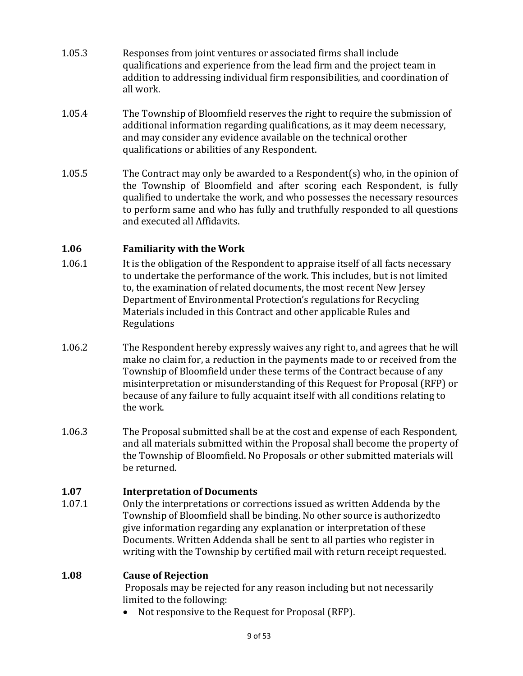- 1.05.3 Responses from joint ventures or associated firms shall include qualifications and experience from the lead firm and the project team in addition to addressing individual firm responsibilities, and coordination of all work.
- 1.05.4 The Township of Bloomfield reserves the right to require the submission of additional information regarding qualifications, as it may deem necessary, and may consider any evidence available on the technical orother qualifications or abilities of any Respondent.
- 1.05.5 The Contract may only be awarded to a Respondent(s) who, in the opinion of the Township of Bloomfield and after scoring each Respondent, is fully qualified to undertake the work, and who possesses the necessary resources to perform same and who has fully and truthfully responded to all questions and executed all Affidavits.

### **1.06 Familiarity with the Work**

- 1.06.1 It is the obligation of the Respondent to appraise itself of all facts necessary to undertake the performance of the work. This includes, but is not limited to, the examination of related documents, the most recent New Jersey Department of Environmental Protection's regulations for Recycling Materials included in this Contract and other applicable Rules and Regulations
- 1.06.2 The Respondent hereby expressly waives any right to, and agrees that he will make no claim for, a reduction in the payments made to or received from the Township of Bloomfield under these terms of the Contract because of any misinterpretation or misunderstanding of this Request for Proposal (RFP) or because of any failure to fully acquaint itself with all conditions relating to the work.
- 1.06.3 The Proposal submitted shall be at the cost and expense of each Respondent, and all materials submitted within the Proposal shall become the property of the Township of Bloomfield. No Proposals or other submitted materials will be returned.

#### **1.07 Interpretation of Documents**

1.07.1 Only the interpretations or corrections issued as written Addenda by the Township of Bloomfield shall be binding. No other source is authorizedto give information regarding any explanation or interpretation of these Documents. Written Addenda shall be sent to all parties who register in writing with the Township by certified mail with return receipt requested.

#### **1.08 Cause of Rejection**

Proposals may be rejected for any reason including but not necessarily limited to the following:

• Not responsive to the Request for Proposal (RFP).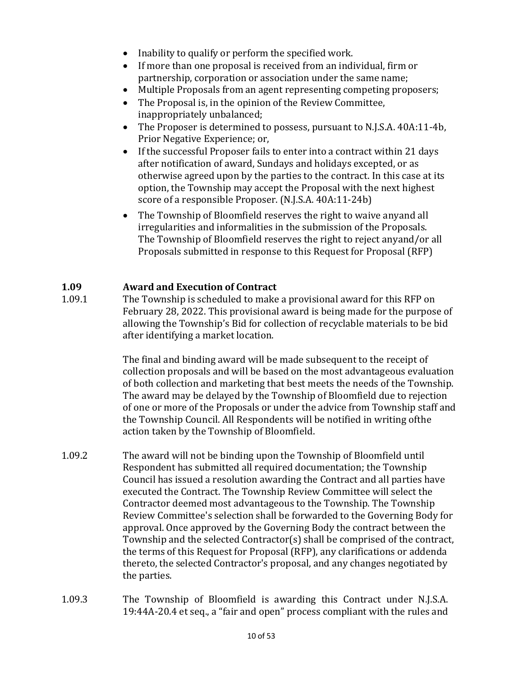- Inability to qualify or perform the specified work.
- If more than one proposal is received from an individual, firm or partnership, corporation or association under the same name;
- Multiple Proposals from an agent representing competing proposers;
- The Proposal is, in the opinion of the Review Committee, inappropriately unbalanced;
- The Proposer is determined to possess, pursuant to N.J.S.A. 40A:11-4b, Prior Negative Experience; or,
- If the successful Proposer fails to enter into a contract within 21 days after notification of award, Sundays and holidays excepted, or as otherwise agreed upon by the parties to the contract. In this case at its option, the Township may accept the Proposal with the next highest score of a responsible Proposer. (N.J.S.A. 40A:11-24b)
- The Township of Bloomfield reserves the right to waive anyand all irregularities and informalities in the submission of the Proposals. The Township of Bloomfield reserves the right to reject anyand/or all Proposals submitted in response to this Request for Proposal (RFP)

#### **1.09 Award and Execution of Contract**

1.09.1 The Township is scheduled to make a provisional award for this RFP on February 28, 2022. This provisional award is being made for the purpose of allowing the Township's Bid for collection of recyclable materials to be bid after identifying a market location.

> The final and binding award will be made subsequent to the receipt of collection proposals and will be based on the most advantageous evaluation of both collection and marketing that best meets the needs of the Township. The award may be delayed by the Township of Bloomfield due to rejection of one or more of the Proposals or under the advice from Township staff and the Township Council. All Respondents will be notified in writing of the action taken by the Township of Bloomfield.

- 1.09.2 The award will not be binding upon the Township of Bloomfield until Respondent has submitted all required documentation; the Township Council has issued a resolution awarding the Contract and all parties have executed the Contract. The Township Review Committee will select the Contractor deemed most advantageous to the Township. The Township Review Committee's selection shall be forwarded to the Governing Body for approval. Once approved by the Governing Body the contract between the Township and the selected Contractor(s) shall be comprised of the contract, the terms of this Request for Proposal (RFP), any clarifications or addenda thereto, the selected Contractor's proposal, and any changes negotiated by the parties.
- 1.09.3 The Township of Bloomfield is awarding this Contract under N.J.S.A. 19:44A-20.4 et seq., a "fair and open" process compliant with the rules and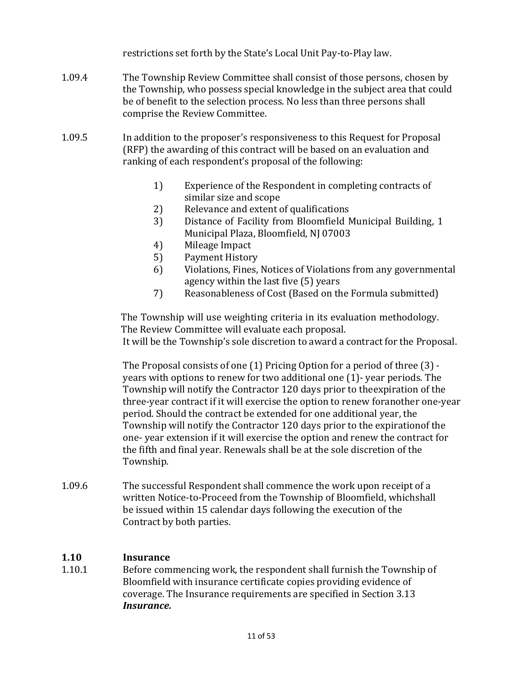restrictions set forth by the State's Local Unit Pay-to-Play law.

- 1.09.4 The Township Review Committee shall consist of those persons, chosen by the Township, who possess special knowledge in the subject area that could be of benefit to the selection process. No less than three persons shall comprise the Review Committee.
- 1.09.5 In addition to the proposer's responsiveness to this Request for Proposal (RFP) the awarding of this contract will be based on an evaluation and ranking of each respondent's proposal of the following:
	- 1) Experience of the Respondent in completing contracts of similar size and scope
	- 2) Relevance and extent of qualifications
	- 3) Distance of Facility from Bloomfield Municipal Building, 1 Municipal Plaza, Bloomfield, NJ 07003
	- 4) Mileage Impact
	- 5) Payment History
	- 6) Violations, Fines, Notices of Violations from any governmental agency within the last five (5) years
	- 7) Reasonableness of Cost (Based on the Formula submitted)

The Township will use weighting criteria in its evaluation methodology. The Review Committee will evaluate each proposal. It will be the Township's sole discretion to award a contract for the Proposal.

The Proposal consists of one  $(1)$  Pricing Option for a period of three  $(3)$  years with options to renew for two additional one (1)-year periods. The Township will notify the Contractor 120 days prior to the expiration of the three-year contract if it will exercise the option to renew foranother one-year period. Should the contract be extended for one additional year, the Township will notify the Contractor 120 days prior to the expirationof the one- year extension if it will exercise the option and renew the contract for the fifth and final year. Renewals shall be at the sole discretion of the Township.

1.09.6 The successful Respondent shall commence the work upon receipt of a written Notice-to-Proceed from the Township of Bloomfield, whichshall be issued within 15 calendar days following the execution of the Contract by both parties.

### **1.10 Insurance**

1.10.1 Before commencing work, the respondent shall furnish the Township of Bloomfield with insurance certificate copies providing evidence of coverage. The Insurance requirements are specified in Section 3.13 *Insurance.*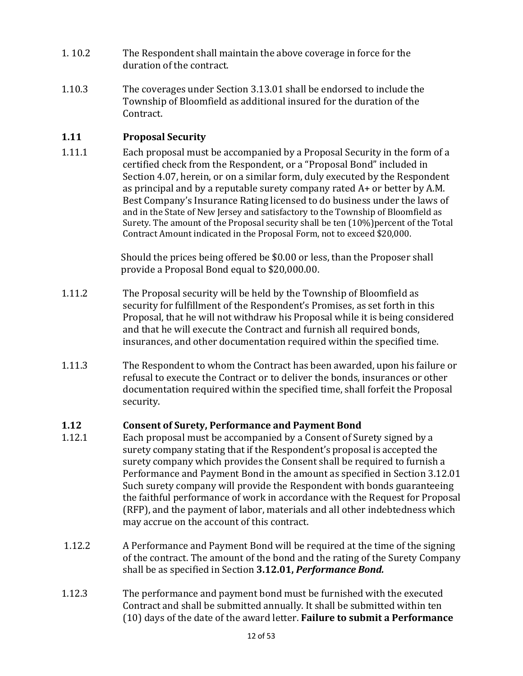- 1. 10.2 The Respondent shall maintain the above coverage in force for the duration of the contract.
- 1.10.3 The coverages under Section 3.13.01 shall be endorsed to include the Township of Bloomfield as additional insured for the duration of the Contract.

### **1.11 Proposal Security**

1.11.1 Each proposal must be accompanied by a Proposal Security in the form of a certified check from the Respondent, or a "Proposal Bond" included in Section 4.07, herein, or on a similar form, duly executed by the Respondent as principal and by a reputable surety company rated  $A+$  or better by A.M. Best Company's Insurance Rating licensed to do business under the laws of and in the State of New Jersey and satisfactory to the Township of Bloomfield as Surety. The amount of the Proposal security shall be ten  $(10\%)$  percent of the Total Contract Amount indicated in the Proposal Form, not to exceed \$20,000.

> Should the prices being offered be \$0.00 or less, than the Proposer shall provide a Proposal Bond equal to \$20,000.00.

- 1.11.2 The Proposal security will be held by the Township of Bloomfield as security for fulfillment of the Respondent's Promises, as set forth in this Proposal, that he will not withdraw his Proposal while it is being considered and that he will execute the Contract and furnish all required bonds, insurances, and other documentation required within the specified time.
- 1.11.3 The Respondent to whom the Contract has been awarded, upon his failure or refusal to execute the Contract or to deliver the bonds, insurances or other documentation required within the specified time, shall forfeit the Proposal security.

### **1.12 Consent of Surety, Performance and Payment Bond**

- 1.12.1 Each proposal must be accompanied by a Consent of Surety signed by a surety company stating that if the Respondent's proposal is accepted the surety company which provides the Consent shall be required to furnish a Performance and Payment Bond in the amount as specified in Section 3.12.01 Such surety company will provide the Respondent with bonds guaranteeing the faithful performance of work in accordance with the Request for Proposal (RFP), and the payment of labor, materials and all other indebtedness which may accrue on the account of this contract.
- 1.12.2 A Performance and Payment Bond will be required at the time of the signing of the contract. The amount of the bond and the rating of the Surety Company shall be as specified in Section **3.12.01,** *Performance Bond.*
- 1.12.3 The performance and payment bond must be furnished with the executed Contract and shall be submitted annually. It shall be submitted within ten (10) days of the date of the award letter. **Failure to submit a Performance**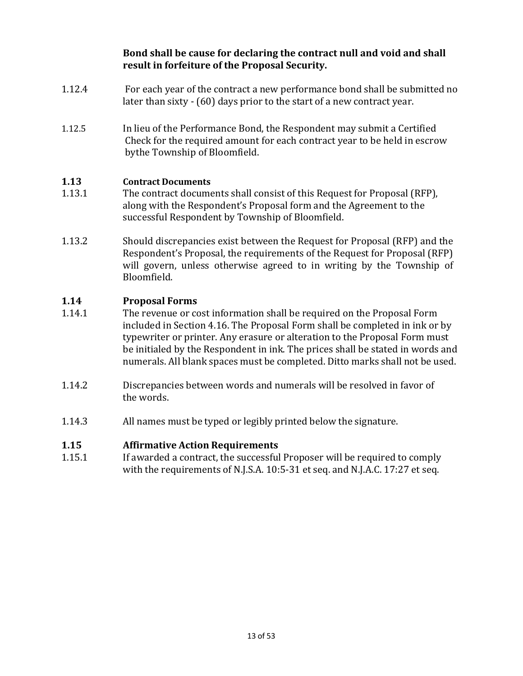Bond shall be cause for declaring the contract null and void and shall **result in forfeiture of the Proposal Security.**

- 1.12.4 For each year of the contract a new performance bond shall be submitted no later than sixty - (60) days prior to the start of a new contract year.
- 1.12.5 In lieu of the Performance Bond, the Respondent may submit a Certified Check for the required amount for each contract year to be held in escrow bythe Township of Bloomfield.

#### **1.13 Contract Documents**

- 1.13.1 The contract documents shall consist of this Request for Proposal (RFP), along with the Respondent's Proposal form and the Agreement to the successful Respondent by Township of Bloomfield.
- 1.13.2 Should discrepancies exist between the Request for Proposal (RFP) and the Respondent's Proposal, the requirements of the Request for Proposal (RFP) will govern, unless otherwise agreed to in writing by the Township of Bloomfield.

#### **1.14 Proposal Forms**

- 1.14.1 The revenue or cost information shall be required on the Proposal Form included in Section 4.16. The Proposal Form shall be completed in ink or by typewriter or printer. Any erasure or alteration to the Proposal Form must be initialed by the Respondent in ink. The prices shall be stated in words and numerals. All blank spaces must be completed. Ditto marks shall not be used.
- 1.14.2 Discrepancies between words and numerals will be resolved in favor of the words.
- 1.14.3 All names must be typed or legibly printed below the signature.

#### **1.15 Affirmative Action Requirements**

1.15.1 If awarded a contract, the successful Proposer will be required to comply with the requirements of N.J.S.A. 10:5-31 et seq. and N.J.A.C. 17:27 et seq.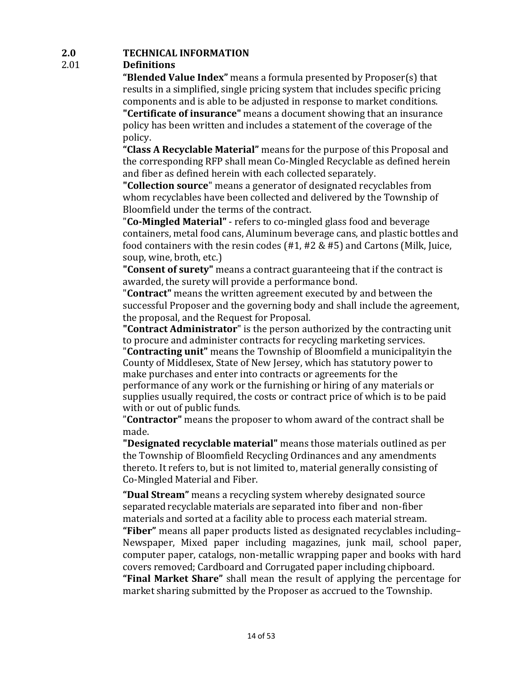### **2.0 TECHNICAL INFORMATION**

### 2.01 **Definitions**

**"Blended Value Index"** means a formula presented by Proposer(s) that results in a simplified, single pricing system that includes specific pricing components and is able to be adjusted in response to market conditions. **"Certificate of insurance"** means a document showing that an insurance policy has been written and includes a statement of the coverage of the policy.

**"Class A Recyclable Material"** means for the purpose of this Proposal and the corresponding RFP shall mean Co-Mingled Recyclable as defined herein and fiber as defined herein with each collected separately.

**"Collection source**" means a generator of designated recyclables from whom recyclables have been collected and delivered by the Township of Bloomfield under the terms of the contract.

"**Co-Mingled Material**" - refers to co-mingled glass food and beverage containers, metal food cans, Aluminum beverage cans, and plastic bottles and food containers with the resin codes  $(H1, H2 \& H5)$  and Cartons (Milk, Juice, soup, wine, broth, etc.)

**"Consent of surety"** means a contract guaranteeing that if the contract is awarded, the surety will provide a performance bond.

**"Contract"** means the written agreement executed by and between the successful Proposer and the governing body and shall include the agreement, the proposal, and the Request for Proposal.

**"Contract Administrator**" is the person authorized by the contracting unit to procure and administer contracts for recycling marketing services.

"**Contracting unit**" means the Township of Bloomfield a municipalityin the County of Middlesex, State of New Jersey, which has statutory power to make purchases and enter into contracts or agreements for the performance of any work or the furnishing or hiring of any materials or supplies usually required, the costs or contract price of which is to be paid with or out of public funds.

"**Contractor**" means the proposer to whom award of the contract shall be made.

**"Designated recyclable material"** means those materials outlined as per the Township of Bloomfield Recycling Ordinances and any amendments thereto. It refers to, but is not limited to, material generally consisting of Co-Mingled Material and Fiber.

**"Dual Stream"** means a recycling system whereby designated source separated recyclable materials are separated into fiber and non-fiber materials and sorted at a facility able to process each material stream. "Fiber" means all paper products listed as designated recyclables including-Newspaper, Mixed paper including magazines, junk mail, school paper, computer paper, catalogs, non-metallic wrapping paper and books with hard covers removed; Cardboard and Corrugated paper including chipboard.

**"Final Market Share"** shall mean the result of applying the percentage for market sharing submitted by the Proposer as accrued to the Township.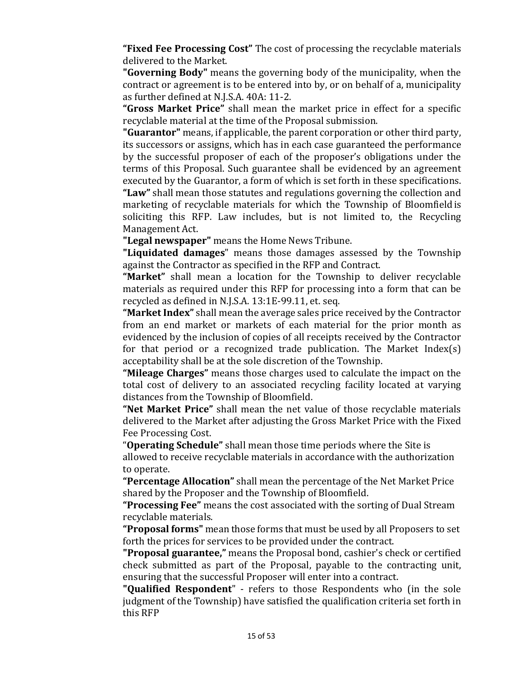**"Fixed Fee Processing Cost"** The cost of processing the recyclable materials delivered to the Market.

**"Governing Body"** means the governing body of the municipality, when the contract or agreement is to be entered into by, or on behalf of a, municipality as further defined at N.J.S.A. 40A: 11-2.

**"Gross Market Price"** shall mean the market price in effect for a specific recyclable material at the time of the Proposal submission.

**"Guarantor"** means, if applicable, the parent corporation or other third party, its successors or assigns, which has in each case guaranteed the performance by the successful proposer of each of the proposer's obligations under the terms of this Proposal. Such guarantee shall be evidenced by an agreement executed by the Guarantor, a form of which is set forth in these specifications. "Law" shall mean those statutes and regulations governing the collection and marketing of recyclable materials for which the Township of Bloomfieldis soliciting this RFP. Law includes, but is not limited to, the Recycling Management Act.

**"Legal newspaper"** means the Home News Tribune.

**"Liquidated damages**" means those damages assessed by the Township against the Contractor as specified in the RFP and Contract.

**"Market"** shall mean a location for the Township to deliver recyclable materials as required under this RFP for processing into a form that can be recycled as defined in N.J.S.A. 13:1E-99.11, et. seq.

**"Market Index"** shall mean the average sales price received by the Contractor from an end market or markets of each material for the prior month as evidenced by the inclusion of copies of all receipts received by the Contractor for that period or a recognized trade publication. The Market Index(s) acceptability shall be at the sole discretion of the Township.

**"Mileage Charges"** means those charges used to calculate the impact on the total cost of delivery to an associated recycling facility located at varying distances from the Township of Bloomfield.

"Net Market Price" shall mean the net value of those recyclable materials delivered to the Market after adjusting the Gross Market Price with the Fixed Fee Processing Cost.

"**Operating Schedule**" shall mean those time periods where the Site is allowed to receive recyclable materials in accordance with the authorization to operate.

**"Percentage Allocation"** shall mean the percentage of the Net Market Price shared by the Proposer and the Township of Bloomfield.

"Processing Fee" means the cost associated with the sorting of Dual Stream recyclable materials.

**"Proposal forms"** mean those forms that must be used by all Proposers to set forth the prices for services to be provided under the contract.

**"Proposal guarantee,"** means the Proposal bond, cashier's check or certified check submitted as part of the Proposal, payable to the contracting unit, ensuring that the successful Proposer will enter into a contract.

**"Qualified Respondent**" - refers to those Respondents who (in the sole judgment of the Township) have satisfied the qualification criteria set forth in this RFP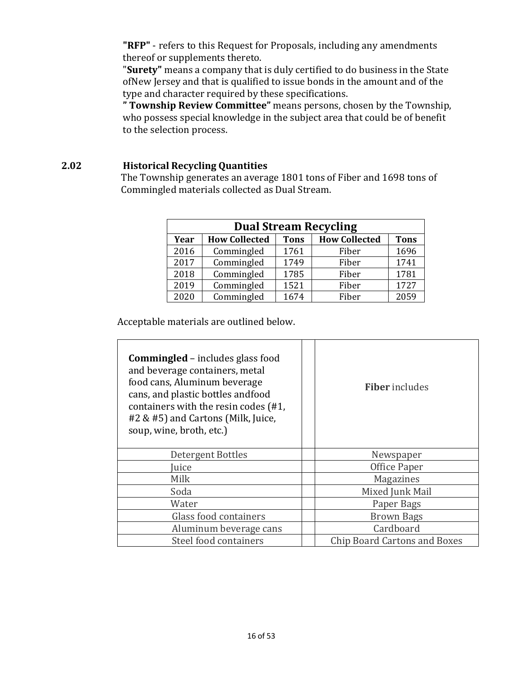**"RFP"** - refers to this Request for Proposals, including any amendments thereof or supplements thereto.

"Surety" means a company that is duly certified to do business in the State ofNew Jersey and that is qualified to issue bonds in the amount and of the type and character required by these specifications.

**" Township Review Committee"** means persons, chosen by the Township, who possess special knowledge in the subject area that could be of benefit to the selection process.

#### **2.02 Historical Recycling Quantities**

The Township generates an average 1801 tons of Fiber and 1698 tons of Commingled materials collected as Dual Stream.

|      | <b>Dual Stream Recycling</b> |             |                      |             |
|------|------------------------------|-------------|----------------------|-------------|
| Year | <b>How Collected</b>         | <b>Tons</b> | <b>How Collected</b> | <b>Tons</b> |
| 2016 | Commingled                   | 1761        | Fiber                | 1696        |
| 2017 | Commingled                   | 1749        | Fiber                | 1741        |
| 2018 | Commingled                   | 1785        | Fiber                | 1781        |
| 2019 | Commingled                   | 1521        | Fiber                | 1727        |
| 2020 | Commingled                   | 1674        | Fiber                | 2059        |

Acceptable materials are outlined below.

| <b>Commingled</b> – includes glass food<br>and beverage containers, metal<br>food cans, Aluminum beverage<br>cans, and plastic bottles andfood<br>containers with the resin codes (#1,<br>#2 & #5) and Cartons (Milk, Juice,<br>soup, wine, broth, etc.) | <b>Fiber</b> includes               |
|----------------------------------------------------------------------------------------------------------------------------------------------------------------------------------------------------------------------------------------------------------|-------------------------------------|
| Detergent Bottles                                                                                                                                                                                                                                        | Newspaper                           |
| uice                                                                                                                                                                                                                                                     | Office Paper                        |
| Milk                                                                                                                                                                                                                                                     | Magazines                           |
| Soda                                                                                                                                                                                                                                                     | Mixed Junk Mail                     |
| Water                                                                                                                                                                                                                                                    | Paper Bags                          |
| Glass food containers                                                                                                                                                                                                                                    | <b>Brown Bags</b>                   |
| Aluminum beverage cans                                                                                                                                                                                                                                   | Cardboard                           |
| Steel food containers                                                                                                                                                                                                                                    | <b>Chip Board Cartons and Boxes</b> |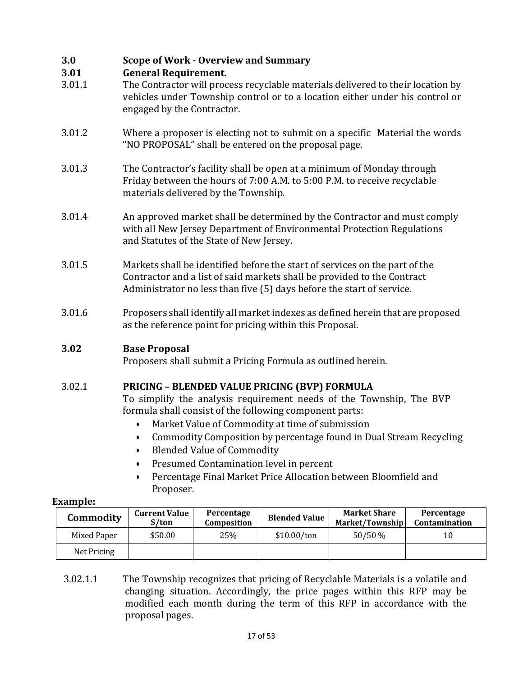### **3.0 Scope of Work - Overview and Summary**

#### **3.01 General Requirement.**

- 3.01.1 The Contractor will process recyclable materials delivered to their location by vehicles under Township control or to a location either under his control or engaged by the Contractor.
- 3.01.2 Where a proposer is electing not to submit on a specific Material the words "NO PROPOSAL" shall be entered on the proposal page.
- 3.01.3 The Contractor's facility shall be open at a minimum of Monday through Friday between the hours of 7:00 A.M. to 5:00 P.M. to receive recyclable materials delivered by the Township.
- 3.01.4 An approved market shall be determined by the Contractor and must comply with all New Jersey Department of Environmental Protection Regulations and Statutes of the State of New Jersey.
- 3.01.5 Markets shall be identified before the start of services on the part of the Contractor and a list of said markets shall be provided to the Contract Administrator no less than five (5) days before the start of service.
- 3.01.6 Proposers shall identify all market indexes as defined herein that are proposed as the reference point for pricing within this Proposal.

### **3.02 Base Proposal**

Proposers shall submit a Pricing Formula as outlined herein.

#### 3.02.1 **PRICING – BLENDED VALUE PRICING (BVP) FORMULA**

To simplify the analysis requirement needs of the Township, The BVP formula shall consist of the following component parts:

- Market Value of Commodity at time of submission
- Commodity Composition by percentage found in Dual Stream Recycling
- Blended Value of Commodity
- Presumed Contamination level in percent
- Percentage Final Market Price Allocation between Bloomfield and Proposer.

#### **Example:**

| Commodity   | <b>Current Value</b><br>$\frac{\sinh(\theta)}{\sinh(\theta)}$ | Percentage<br>Composition | <b>Blended Value</b> | <b>Market Share</b><br>Market/Township | Percentage<br>Contamination |
|-------------|---------------------------------------------------------------|---------------------------|----------------------|----------------------------------------|-----------------------------|
| Mixed Paper | \$50.00                                                       | 25%                       | \$10.00/ton          | 50/50 %                                | 10                          |
| Net Pricing |                                                               |                           |                      |                                        |                             |

3.02.1.1 The Township recognizes that pricing of Recyclable Materials is a volatile and changing situation. Accordingly, the price pages within this RFP may be modified each month during the term of this RFP in accordance with the proposal pages.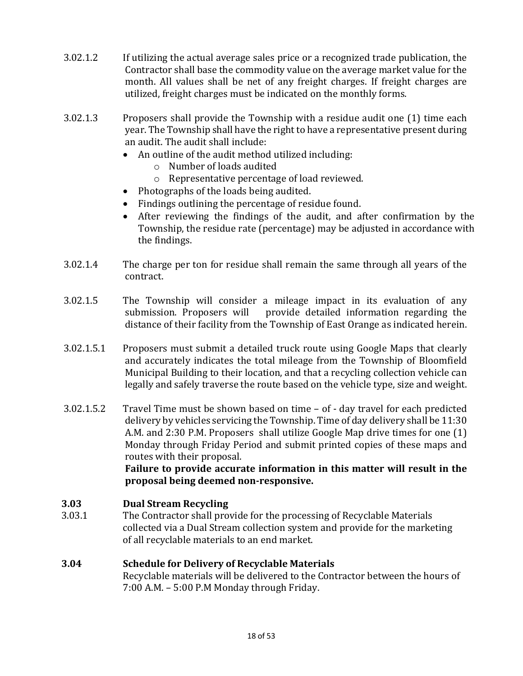- 3.02.1.2 If utilizing the actual average sales price or a recognized trade publication, the Contractor shall base the commodity value on the average market value for the month. All values shall be net of any freight charges. If freight charges are utilized, freight charges must be indicated on the monthly forms.
- 3.02.1.3 Proposers shall provide the Township with a residue audit one (1) time each year. The Township shall have the right to have a representative present during an audit. The audit shall include:
	- An outline of the audit method utilized including:
		- $\circ$  Number of loads audited
		- o Representative percentage of load reviewed.
	- Photographs of the loads being audited.
	- Findings outlining the percentage of residue found.
	- After reviewing the findings of the audit, and after confirmation by the Township, the residue rate (percentage) may be adjusted in accordance with the findings.
- $3.02.1.4$  The charge per ton for residue shall remain the same through all years of the contract.
- 3.02.1.5 The Township will consider a mileage impact in its evaluation of any submission. Proposers will provide detailed information regarding the distance of their facility from the Township of East Orange as indicated herein.
- 3.02.1.5.1 Proposers must submit a detailed truck route using Google Maps that clearly and accurately indicates the total mileage from the Township of Bloomfield Municipal Building to their location, and that a recycling collection vehicle can legally and safely traverse the route based on the vehicle type, size and weight.
- $3.02.1.5.2$  Travel Time must be shown based on time  $-$  of  $-$  day travel for each predicted delivery by vehicles servicing the Township. Time of day delivery shall be 11:30 A.M. and 2:30 P.M. Proposers shall utilize Google Map drive times for one (1) Monday through Friday Period and submit printed copies of these maps and routes with their proposal.

Failure to provide accurate information in this matter will result in the **proposal being deemed non-responsive.**

#### **3.03 Dual Stream Recycling**

3.03.1 The Contractor shall provide for the processing of Recyclable Materials collected via a Dual Stream collection system and provide for the marketing of all recyclable materials to an end market.

#### **3.04 Schedule for Delivery of Recyclable Materials** Recyclable materials will be delivered to the Contractor between the hours of  $7:00$  A.M.  $-5:00$  P.M Monday through Friday.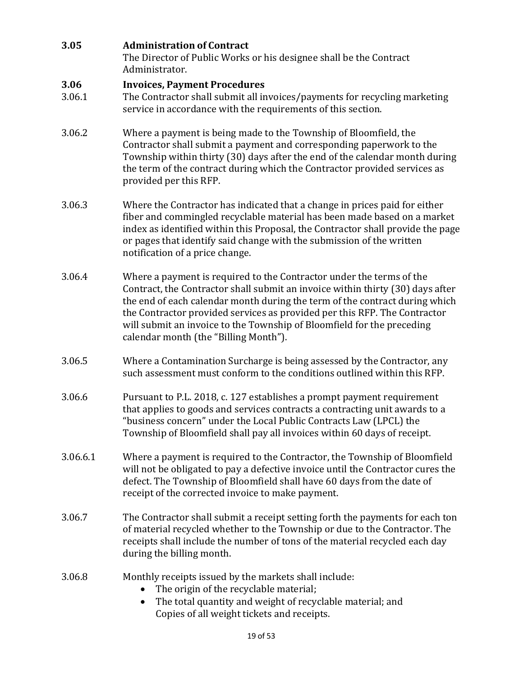| 3.05           | <b>Administration of Contract</b><br>The Director of Public Works or his designee shall be the Contract<br>Administrator.                                                                                                                                                                                                                                                                                                             |
|----------------|---------------------------------------------------------------------------------------------------------------------------------------------------------------------------------------------------------------------------------------------------------------------------------------------------------------------------------------------------------------------------------------------------------------------------------------|
| 3.06<br>3.06.1 | <b>Invoices, Payment Procedures</b><br>The Contractor shall submit all invoices/payments for recycling marketing<br>service in accordance with the requirements of this section.                                                                                                                                                                                                                                                      |
| 3.06.2         | Where a payment is being made to the Township of Bloomfield, the<br>Contractor shall submit a payment and corresponding paperwork to the<br>Township within thirty (30) days after the end of the calendar month during<br>the term of the contract during which the Contractor provided services as<br>provided per this RFP.                                                                                                        |
| 3.06.3         | Where the Contractor has indicated that a change in prices paid for either<br>fiber and commingled recyclable material has been made based on a market<br>index as identified within this Proposal, the Contractor shall provide the page<br>or pages that identify said change with the submission of the written<br>notification of a price change.                                                                                 |
| 3.06.4         | Where a payment is required to the Contractor under the terms of the<br>Contract, the Contractor shall submit an invoice within thirty (30) days after<br>the end of each calendar month during the term of the contract during which<br>the Contractor provided services as provided per this RFP. The Contractor<br>will submit an invoice to the Township of Bloomfield for the preceding<br>calendar month (the "Billing Month"). |
| 3.06.5         | Where a Contamination Surcharge is being assessed by the Contractor, any<br>such assessment must conform to the conditions outlined within this RFP.                                                                                                                                                                                                                                                                                  |
| 3.06.6         | Pursuant to P.L. 2018, c. 127 establishes a prompt payment requirement<br>that applies to goods and services contracts a contracting unit awards to a<br>"business concern" under the Local Public Contracts Law (LPCL) the<br>Township of Bloomfield shall pay all invoices within 60 days of receipt.                                                                                                                               |
| 3.06.6.1       | Where a payment is required to the Contractor, the Township of Bloomfield<br>will not be obligated to pay a defective invoice until the Contractor cures the<br>defect. The Township of Bloomfield shall have 60 days from the date of<br>receipt of the corrected invoice to make payment.                                                                                                                                           |
| 3.06.7         | The Contractor shall submit a receipt setting forth the payments for each ton<br>of material recycled whether to the Township or due to the Contractor. The<br>receipts shall include the number of tons of the material recycled each day<br>during the billing month.                                                                                                                                                               |
| 3.06.8         | Monthly receipts issued by the markets shall include:<br>The origin of the recyclable material;<br>The total quantity and weight of recyclable material; and<br>Copies of all weight tickets and receipts.                                                                                                                                                                                                                            |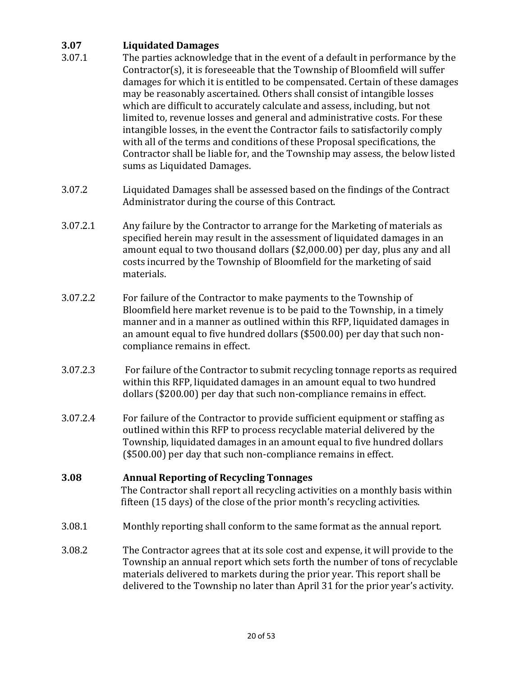### **3.07 Liquidated Damages**

- 3.07.1 The parties acknowledge that in the event of a default in performance by the  $Contractor(s)$ , it is foreseeable that the Township of Bloomfield will suffer damages for which it is entitled to be compensated. Certain of these damages may be reasonably ascertained. Others shall consist of intangible losses which are difficult to accurately calculate and assess, including, but not limited to, revenue losses and general and administrative costs. For these intangible losses, in the event the Contractor fails to satisfactorily comply with all of the terms and conditions of these Proposal specifications, the Contractor shall be liable for, and the Township may assess, the below listed sums as Liquidated Damages.
- 3.07.2 Liquidated Damages shall be assessed based on the findings of the Contract Administrator during the course of this Contract.
- 3.07.2.1 Any failure by the Contractor to arrange for the Marketing of materials as specified herein may result in the assessment of liquidated damages in an amount equal to two thousand dollars  $(S2,000.00)$  per day, plus any and all costs incurred by the Township of Bloomfield for the marketing of said materials.
- 3.07.2.2 For failure of the Contractor to make payments to the Township of Bloomfield here market revenue is to be paid to the Township, in a timely manner and in a manner as outlined within this RFP, liquidated damages in an amount equal to five hundred dollars (\$500.00) per day that such noncompliance remains in effect.
- 3.07.2.3 For failure of the Contractor to submit recycling tonnage reports as required within this RFP, liquidated damages in an amount equal to two hundred dollars (\$200.00) per day that such non-compliance remains in effect.
- 3.07.2.4 For failure of the Contractor to provide sufficient equipment or staffing as outlined within this RFP to process recyclable material delivered by the Township, liquidated damages in an amount equal to five hundred dollars (\$500.00) per day that such non-compliance remains in effect.

#### **3.08 Annual Reporting of Recycling Tonnages**

The Contractor shall report all recycling activities on a monthly basis within fifteen (15 days) of the close of the prior month's recycling activities.

- 3.08.1 Monthly reporting shall conform to the same format as the annual report.
- 3.08.2 The Contractor agrees that at its sole cost and expense, it will provide to the Township an annual report which sets forth the number of tons of recyclable materials delivered to markets during the prior year. This report shall be delivered to the Township no later than April 31 for the prior year's activity.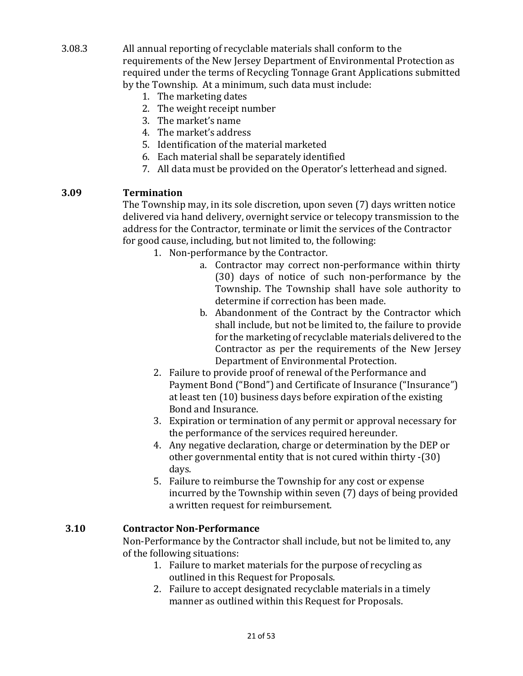- 3.08.3 All annual reporting of recyclable materials shall conform to the requirements of the New Jersey Department of Environmental Protection as required under the terms of Recycling Tonnage Grant Applications submitted by the Township. At a minimum, such data must include:
	- 1. The marketing dates
	- 2. The weight receipt number
	- 3. The market's name
	- 4. The market's address
	- 5. Identification of the material marketed
	- 6. Each material shall be separately identified
	- 7. All data must be provided on the Operator's letterhead and signed.

#### **3.09 Termination**

The Township may, in its sole discretion, upon seven (7) days written notice delivered via hand delivery, overnight service or telecopy transmission to the address for the Contractor, terminate or limit the services of the Contractor for good cause, including, but not limited to, the following:

1. Non-performance by the Contractor.

- a. Contractor may correct non-performance within thirty (30) days of notice of such non-performance by the Township. The Township shall have sole authority to determine if correction has been made.
- b. Abandonment of the Contract by the Contractor which shall include, but not be limited to, the failure to provide for the marketing of recyclable materials delivered to the Contractor as per the requirements of the New Jersey Department of Environmental Protection.
- 2. Failure to provide proof of renewal of the Performance and Payment Bond ("Bond") and Certificate of Insurance ("Insurance") at least ten (10) business days before expiration of the existing Bond and Insurance.
- 3. Expiration or termination of any permit or approval necessary for the performance of the services required hereunder.
- 4. Any negative declaration, charge or determination by the DEP or other governmental entity that is not cured within thirty  $-30$ ) days.
- 5. Failure to reimburse the Township for any cost or expense incurred by the Township within seven (7) days of being provided a written request for reimbursement.

#### **3.10 Contractor Non-Performance**

Non-Performance by the Contractor shall include, but not be limited to, any of the following situations:

- 1. Failure to market materials for the purpose of recycling as outlined in this Request for Proposals.
- 2. Failure to accept designated recyclable materials in a timely manner as outlined within this Request for Proposals.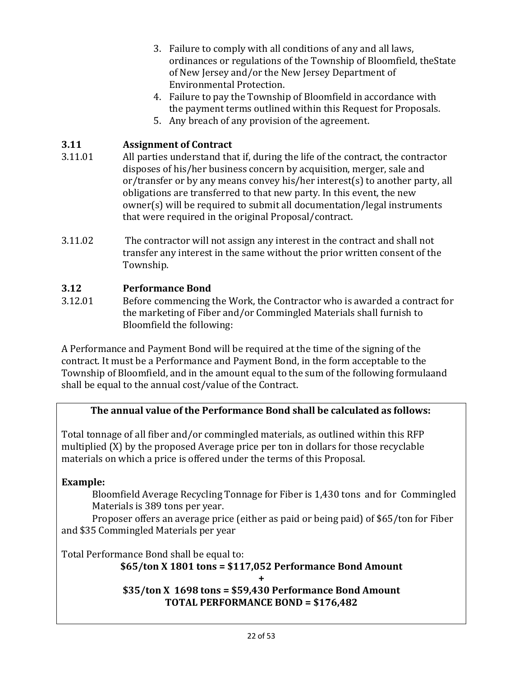- 3. Failure to comply with all conditions of any and all laws, ordinances or regulations of the Township of Bloomfield, the State of New Jersey and/or the New Jersey Department of Environmental Protection.
- 4. Failure to pay the Township of Bloomfield in accordance with the payment terms outlined within this Request for Proposals.
- 5. Any breach of any provision of the agreement.

### **3.11 Assignment of Contract**

- 3.11.01 All parties understand that if, during the life of the contract, the contractor disposes of his/her business concern by acquisition, merger, sale and or/transfer or by any means convey his/her interest(s) to another party, all obligations are transferred to that new party. In this event, the new owner(s) will be required to submit all documentation/legal instruments that were required in the original Proposal/contract.
- 3.11.02 The contractor will not assign any interest in the contract and shall not transfer any interest in the same without the prior written consent of the Township.

### **3.12 Performance Bond**

3.12.01 Before commencing the Work, the Contractor who is awarded a contract for the marketing of Fiber and/or Commingled Materials shall furnish to Bloomfield the following:

A Performance and Payment Bond will be required at the time of the signing of the contract. It must be a Performance and Payment Bond, in the form acceptable to the Township of Bloomfield, and in the amount equal to the sum of the following formulaand shall be equal to the annual cost/value of the Contract.

### **The annual value of the Performance Bond shall be calculated as follows:**

Total tonnage of all fiber and/or commingled materials, as outlined within this RFP multiplied  $(X)$  by the proposed Average price per ton in dollars for those recyclable materials on which a price is offered under the terms of this Proposal.

**Example:**

Bloomfield Average Recycling Tonnage for Fiber is 1,430 tons and for Commingled Materials is 389 tons per year.

Proposer offers an average price (either as paid or being paid) of \$65/ton for Fiber and \$35 Commingled Materials per year

Total Performance Bond shall be equal to:

### **\$65/ton X 1801 tons = \$117,052 Performance Bond Amount**

**+**

**\$35/ton X 1698 tons = \$59,430 Performance Bond Amount TOTAL PERFORMANCE BOND = \$176,482**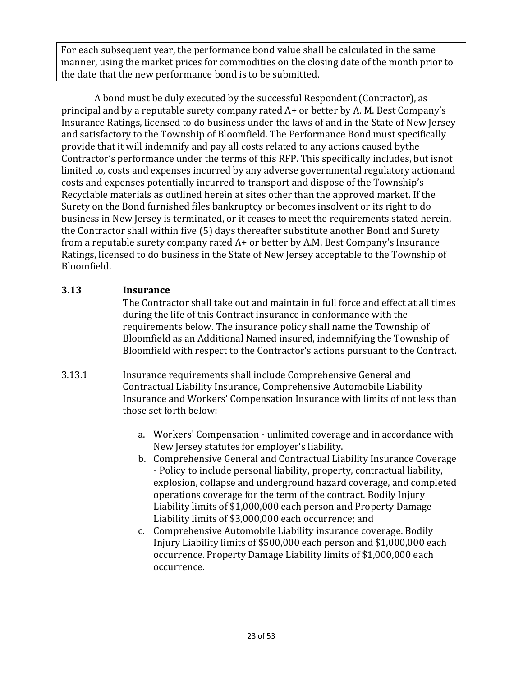For each subsequent year, the performance bond value shall be calculated in the same manner, using the market prices for commodities on the closing date of the month prior to the date that the new performance bond is to be submitted.

A bond must be duly executed by the successful Respondent (Contractor), as principal and by a reputable surety company rated  $A+$  or better by A. M. Best Company's Insurance Ratings, licensed to do business under the laws of and in the State of New Jersey and satisfactory to the Township of Bloomfield. The Performance Bond must specifically provide that it will indemnify and pay all costs related to any actions caused by the Contractor's performance under the terms of this RFP. This specifically includes, but isnot limited to, costs and expenses incurred by any adverse governmental regulatory actionand costs and expenses potentially incurred to transport and dispose of the Township's Recyclable materials as outlined herein at sites other than the approved market. If the Surety on the Bond furnished files bankruptcy or becomes insolvent or its right to do business in New Jersey is terminated, or it ceases to meet the requirements stated herein, the Contractor shall within five (5) days thereafter substitute another Bond and Surety from a reputable surety company rated  $A+$  or better by A.M. Best Company's Insurance Ratings, licensed to do business in the State of New Jersey acceptable to the Township of Bloomfield.

### **3.13 Insurance**

The Contractor shall take out and maintain in full force and effect at all times during the life of this Contract insurance in conformance with the requirements below. The insurance policy shall name the Township of Bloomfield as an Additional Named insured, indemnifying the Township of Bloomfield with respect to the Contractor's actions pursuant to the Contract.

- 3.13.1 Insurance requirements shall include Comprehensive General and Contractual Liability Insurance, Comprehensive Automobile Liability Insurance and Workers' Compensation Insurance with limits of not less than those set forth below:
	- a. Workers' Compensation unlimited coverage and in accordance with New Jersey statutes for employer's liability.
	- b. Comprehensive General and Contractual Liability Insurance Coverage - Policy to include personal liability, property, contractual liability, explosion, collapse and underground hazard coverage, and completed operations coverage for the term of the contract. Bodily Injury Liability limits of \$1,000,000 each person and Property Damage Liability limits of \$3,000,000 each occurrence; and
	- c. Comprehensive Automobile Liability insurance coverage. Bodily Injury Liability limits of \$500,000 each person and \$1,000,000 each occurrence. Property Damage Liability limits of \$1,000,000 each occurrence.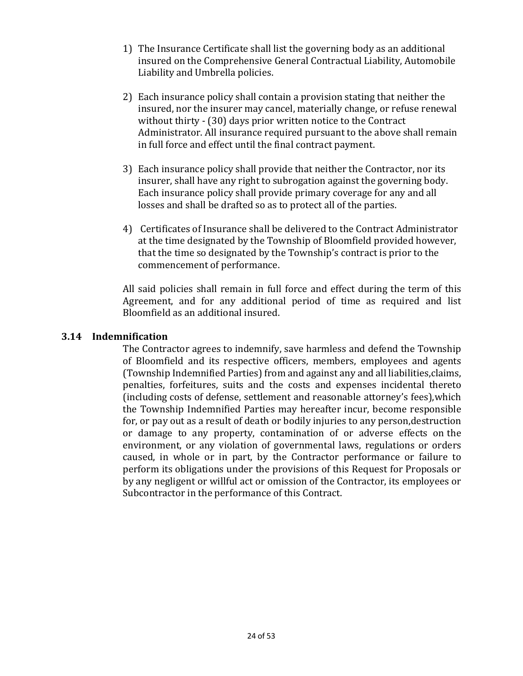- 1) The Insurance Certificate shall list the governing body as an additional insured on the Comprehensive General Contractual Liability, Automobile Liability and Umbrella policies.
- 2) Each insurance policy shall contain a provision stating that neither the insured, nor the insurer may cancel, materially change, or refuse renewal without thirty  $-$  (30) days prior written notice to the Contract Administrator. All insurance required pursuant to the above shall remain in full force and effect until the final contract payment.
- 3) Each insurance policy shall provide that neither the Contractor, nor its insurer, shall have any right to subrogation against the governing body. Each insurance policy shall provide primary coverage for any and all losses and shall be drafted so as to protect all of the parties.
- 4) Certificates of Insurance shall be delivered to the Contract Administrator at the time designated by the Township of Bloomfield provided however, that the time so designated by the Township's contract is prior to the commencement of performance.

All said policies shall remain in full force and effect during the term of this Agreement, and for any additional period of time as required and list Bloomfield as an additional insured.

#### **3.14 Indemnification**

The Contractor agrees to indemnify, save harmless and defend the Township of Bloomfield and its respective officers, members, employees and agents (Township Indemnified Parties) from and against any and all liabilities,claims, penalties, forfeitures, suits and the costs and expenses incidental thereto (including costs of defense, settlement and reasonable attorney's fees),which the Township Indemnified Parties may hereafter incur, become responsible for, or pay out as a result of death or bodily injuries to any person,destruction or damage to any property, contamination of or adverse effects on the environment, or any violation of governmental laws, regulations or orders caused, in whole or in part, by the Contractor performance or failure to perform its obligations under the provisions of this Request for Proposals or by any negligent or willful act or omission of the Contractor, its employees or Subcontractor in the performance of this Contract.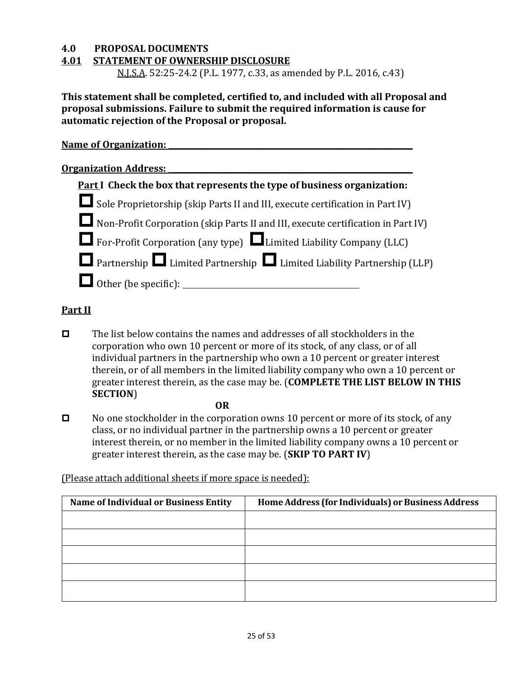#### **4.0 PROPOSAL DOCUMENTS**

#### **4.01 STATEMENT OF OWNERSHIP DISCLOSURE**

N.J.S.A. 52:25-24.2 (P.L. 1977, c.33, as amended by P.L. 2016, c.43)

This statement shall be completed, certified to, and included with all Proposal and **proposal submissions. Failure to submit the required information is cause for automatic rejection of the Proposal or proposal.**

| <b>Name of Organization:</b>                                                     |
|----------------------------------------------------------------------------------|
| <b>Organization Address:</b>                                                     |
| <b>Part I</b> Check the box that represents the type of business organization:   |
| Sole Proprietorship (skip Parts II and III, execute certification in Part IV)    |
| Non-Profit Corporation (skip Parts II and III, execute certification in Part IV) |
| $\Box$ For-Profit Corporation (any type) $\Box$ Limited Liability Company (LLC)  |
| Partnership Limited Partnership Limited Liability Partnership (LLP)              |
| Other (be specific): __                                                          |

#### **Part II**

 $\Box$  The list below contains the names and addresses of all stockholders in the corporation who own 10 percent or more of its stock, of any class, or of all individual partners in the partnership who own a 10 percent or greater interest therein, or of all members in the limited liability company who own a 10 percent or greater interest therein, as the case may be. (**COMPLETE THE LIST BELOW IN THIS SECTION**)

**OR**

 $\Box$  No one stockholder in the corporation owns 10 percent or more of its stock, of any class, or no individual partner in the partnership owns a 10 percent or greater interest therein, or no member in the limited liability company owns a 10 percent or greater interest therein, as the case may be. (**SKIP TO PART IV**)

(Please attach additional sheets if more space is needed):

| <b>Name of Individual or Business Entity</b> | Home Address (for Individuals) or Business Address |
|----------------------------------------------|----------------------------------------------------|
|                                              |                                                    |
|                                              |                                                    |
|                                              |                                                    |
|                                              |                                                    |
|                                              |                                                    |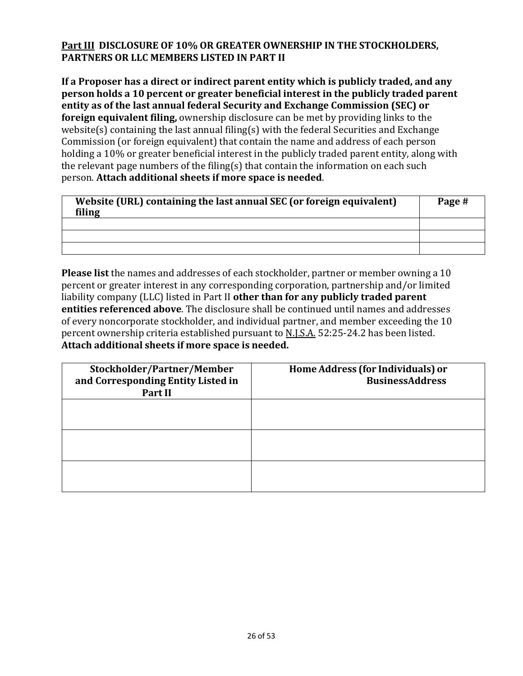### **Part III DISCLOSURE OF 10% OR GREATER OWNERSHIP IN THE STOCKHOLDERS, PARTNERS OR LLC MEMBERS LISTED IN PART II**

If a Proposer has a direct or indirect parent entity which is publicly traded, and any **person holds a 10 percent or greater beneficial interest in the publicly traded parent** entity as of the last annual federal Security and Exchange Commission (SEC) or **foreign equivalent filing,** ownership disclosure can be met by providing links to the website(s) containing the last annual filing(s) with the federal Securities and Exchange Commission (or foreign equivalent) that contain the name and address of each person holding a 10% or greater beneficial interest in the publicly traded parent entity, along with the relevant page numbers of the filing(s) that contain the information on each such person. **Attach additional sheets if more space is needed**.

| Website (URL) containing the last annual SEC (or foreign equivalent)<br>filing | Page # |
|--------------------------------------------------------------------------------|--------|
|                                                                                |        |
|                                                                                |        |
|                                                                                |        |

**Please list** the names and addresses of each stockholder, partner or member owning a 10 percent or greater interest in any corresponding corporation, partnership and/or limited liability company (LLC) listed in Part II **other than for any publicly traded parent entities referenced above**. The disclosure shall be continued until names and addresses of every noncorporate stockholder, and individual partner, and member exceeding the 10 percent ownership criteria established pursuant to N.J.S.A. 52:25-24.2 has been listed. **Attach additional sheets if more space is needed.**

| Stockholder/Partner/Member<br>and Corresponding Entity Listed in<br>Part II | Home Address (for Individuals) or<br><b>BusinessAddress</b> |
|-----------------------------------------------------------------------------|-------------------------------------------------------------|
|                                                                             |                                                             |
|                                                                             |                                                             |
|                                                                             |                                                             |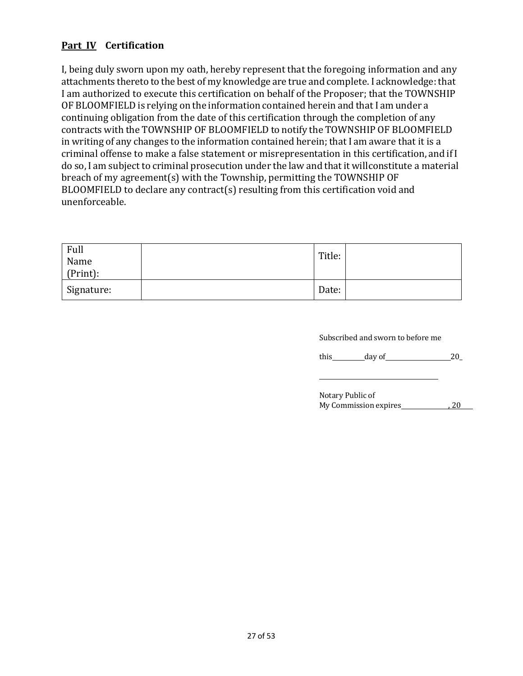### **Part IV Certification**

I, being duly sworn upon my oath, hereby represent that the foregoing information and any attachments thereto to the best of my knowledge are true and complete. I acknowledge: that I am authorized to execute this certification on behalf of the Proposer; that the TOWNSHIP OF BLOOMFIELD is relying on the information contained herein and that I am under a continuing obligation from the date of this certification through the completion of any contracts with the TOWNSHIP OF BLOOMFIELD to notify the TOWNSHIP OF BLOOMFIELD in writing of any changes to the information contained herein; that I am aware that it is a criminal offense to make a false statement or misrepresentation in this certification, and if I do so, I am subject to criminal prosecution under the law and that it willconstitute a material breach of my agreement(s) with the Township, permitting the TOWNSHIP OF BLOOMFIELD to declare any contract(s) resulting from this certification void and unenforceable.

| Full       | Title: |  |
|------------|--------|--|
| Name       |        |  |
| (Print):   |        |  |
| Signature: | Date:  |  |

Subscribed and sworn to before me

this  $\qquad \qquad$  day of  $\qquad \qquad 20$ 

| Notary Public of      |     |  |
|-----------------------|-----|--|
| My Commission expires | .20 |  |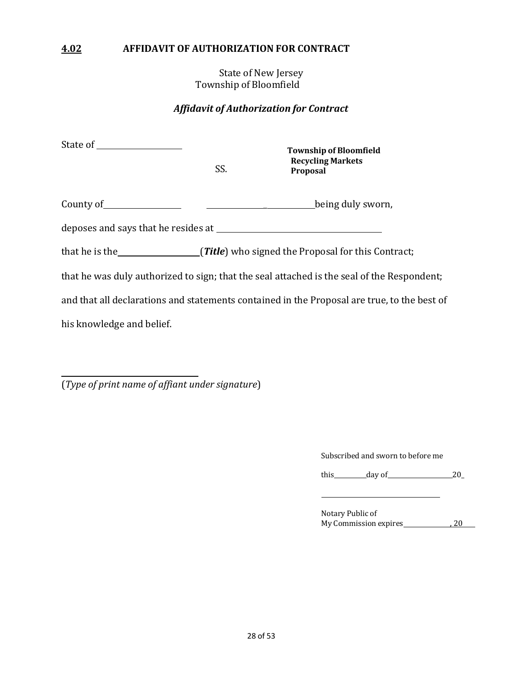#### **4.02 AFFIDAVIT OF AUTHORIZATION FOR CONTRACT**

State of New Jersey Township of Bloomfield

#### *Affidavit of Authorization for Contract*

| State of the state of the state of the state of the state of the state of the state of the state of the state o | SS. | <b>Township of Bloomfield</b><br><b>Recycling Markets</b><br>Proposal                                                                                                                                                                |
|-----------------------------------------------------------------------------------------------------------------|-----|--------------------------------------------------------------------------------------------------------------------------------------------------------------------------------------------------------------------------------------|
|                                                                                                                 |     | County of <u>County of County of County of County of County of County of County of County of County of County of County of County of County of County of County of County of County of County of County of County of County of C</u> |
| deposes and says that he resides at <u>the same and the same in the same</u>                                    |     |                                                                                                                                                                                                                                      |
|                                                                                                                 |     | that he is the series (Title) who signed the Proposal for this Contract;                                                                                                                                                             |
|                                                                                                                 |     | that he was duly authorized to sign; that the seal attached is the seal of the Respondent;                                                                                                                                           |
| and that all declarations and statements contained in the Proposal are true, to the best of                     |     |                                                                                                                                                                                                                                      |
| his knowledge and belief.                                                                                       |     |                                                                                                                                                                                                                                      |

(*Type of print name of affiant under signature*)

Subscribed and sworn to before me

this  $\qquad \qquad \text{day of} \qquad \qquad 20$ 

Notary Public of My Commission expires 6 20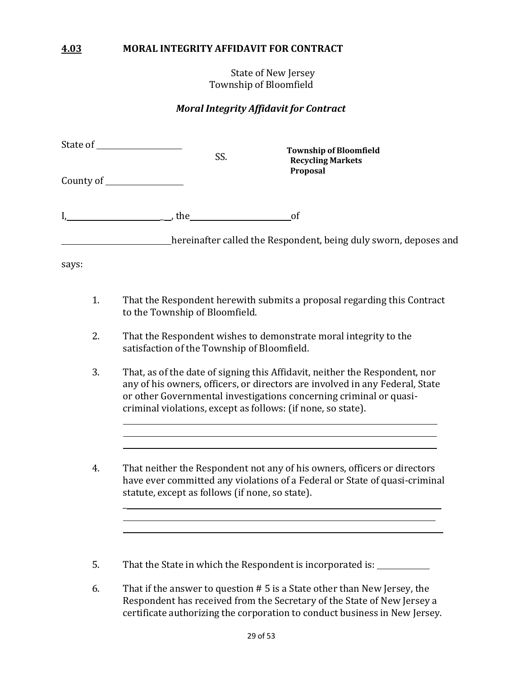#### **4.03 MORAL INTEGRITY AFFIDAVIT FOR CONTRACT**

State of New Jersey Township of Bloomfield

#### *Moral Integrity Affidavit for Contract*

| County of ___________________ |                                                | SS.                                         | <b>Township of Bloomfield</b><br><b>Recycling Markets</b>                                                                                                                                                                                                                                         |  |
|-------------------------------|------------------------------------------------|---------------------------------------------|---------------------------------------------------------------------------------------------------------------------------------------------------------------------------------------------------------------------------------------------------------------------------------------------------|--|
|                               |                                                |                                             | Proposal                                                                                                                                                                                                                                                                                          |  |
|                               | $h$ the state $\lambda$ is the state $\lambda$ |                                             | of                                                                                                                                                                                                                                                                                                |  |
|                               |                                                |                                             | <b>Example 20</b> hereinafter called the Respondent, being duly sworn, deposes and                                                                                                                                                                                                                |  |
| says:                         |                                                |                                             |                                                                                                                                                                                                                                                                                                   |  |
| 1.                            |                                                | to the Township of Bloomfield.              | That the Respondent herewith submits a proposal regarding this Contract                                                                                                                                                                                                                           |  |
| 2.                            |                                                | satisfaction of the Township of Bloomfield. | That the Respondent wishes to demonstrate moral integrity to the                                                                                                                                                                                                                                  |  |
| 3.                            |                                                |                                             | That, as of the date of signing this Affidavit, neither the Respondent, nor<br>any of his owners, officers, or directors are involved in any Federal, State<br>or other Governmental investigations concerning criminal or quasi-<br>criminal violations, except as follows: (if none, so state). |  |
| 4.                            |                                                |                                             | That neither the Respondent not any of his owners, officers or directors                                                                                                                                                                                                                          |  |

have ever committed any violations of a Federal or State of quasi-criminal statute, except as follows (if none, so state).

<u> 1989 - Johann Harry Harry Harry Harry Harry Harry Harry Harry Harry Harry Harry Harry Harry Harry Harry Harry</u>

5. That the State in which the Respondent is incorporated is: 

 $\overline{a}$ 

6. That if the answer to question  $# 5$  is a State other than New Jersey, the Respondent has received from the Secretary of the State of New Jersey a certificate authorizing the corporation to conduct business in New Jersey.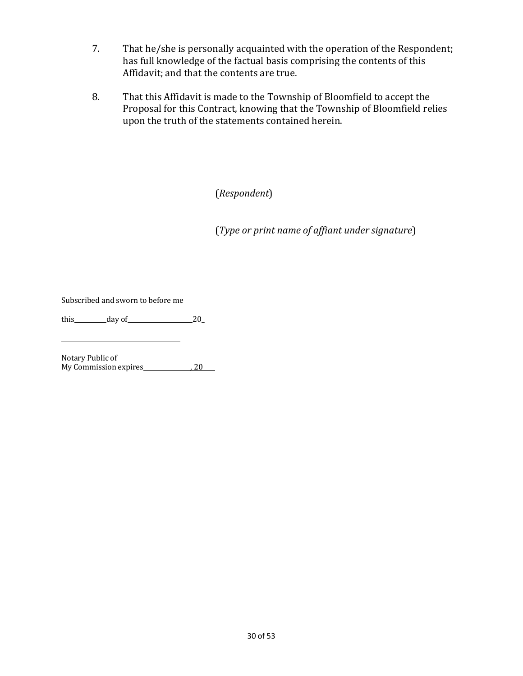- 7. That he/she is personally acquainted with the operation of the Respondent; has full knowledge of the factual basis comprising the contents of this Affidavit; and that the contents are true.
- 8. That this Affidavit is made to the Township of Bloomfield to accept the Proposal for this Contract, knowing that the Township of Bloomfield relies upon the truth of the statements contained herein.

(*Respondent*)

(*Type or print name of affiant under signature*)

Subscribed and sworn to before me

this  $\_\_\_\_\_\_\_\_\_\_\_\_\_\_\_\_\_20$  ay of  $\_\_\_\_\_\_\_\_\_20$ 

Notary Public of My Commission expires 6 and 20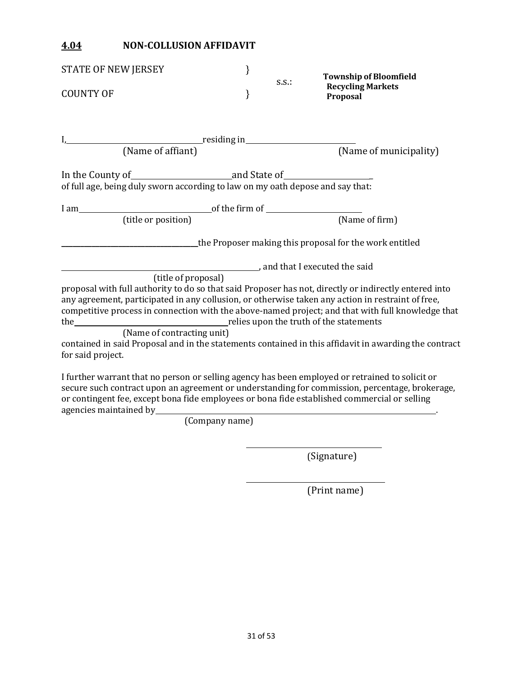### **4.04 NON-COLLUSION AFFIDAVIT**

| STATE OF NEW JERSEY                                                                                                                                                                                                       | } |          | <b>Township of Bloomfield</b>                                                                                                                                                                                           |
|---------------------------------------------------------------------------------------------------------------------------------------------------------------------------------------------------------------------------|---|----------|-------------------------------------------------------------------------------------------------------------------------------------------------------------------------------------------------------------------------|
| <b>COUNTY OF</b>                                                                                                                                                                                                          | } | $S.S.$ : | <b>Recycling Markets</b><br>Proposal                                                                                                                                                                                    |
| I, residing in residing in                                                                                                                                                                                                |   |          |                                                                                                                                                                                                                         |
| (Name of affiant)                                                                                                                                                                                                         |   |          | (Name of municipality)                                                                                                                                                                                                  |
| of full age, being duly sworn according to law on my oath depose and say that:                                                                                                                                            |   |          |                                                                                                                                                                                                                         |
| $\sim$ of the firm of $\sim$<br>$I$ am $\qquad \qquad$                                                                                                                                                                    |   |          |                                                                                                                                                                                                                         |
| (title or position)                                                                                                                                                                                                       |   |          | (Name of firm)                                                                                                                                                                                                          |
|                                                                                                                                                                                                                           |   |          | the Proposer making this proposal for the work entitled                                                                                                                                                                 |
|                                                                                                                                                                                                                           |   |          | and that I executed the said                                                                                                                                                                                            |
| (title of proposal)                                                                                                                                                                                                       |   |          |                                                                                                                                                                                                                         |
| any agreement, participated in any collusion, or otherwise taken any action in restraint of free,                                                                                                                         |   |          | proposal with full authority to do so that said Proposer has not, directly or indirectly entered into<br>competitive process in connection with the above-named project; and that with full knowledge that              |
| (Name of contracting unit)                                                                                                                                                                                                |   |          |                                                                                                                                                                                                                         |
| for said project.                                                                                                                                                                                                         |   |          | contained in said Proposal and in the statements contained in this affidavit in awarding the contract                                                                                                                   |
| I further warrant that no person or selling agency has been employed or retrained to solicit or<br>or contingent fee, except bona fide employees or bona fide established commercial or selling<br>agencies maintained by |   |          | secure such contract upon an agreement or understanding for commission, percentage, brokerage,<br><u> 1980 - Johann Barn, mars ann an t-Amhain Aonaichte ann an t-Aonaichte ann an t-Aonaichte ann an t-Aonaichte a</u> |

(Company name)

(Signature)

(Print name)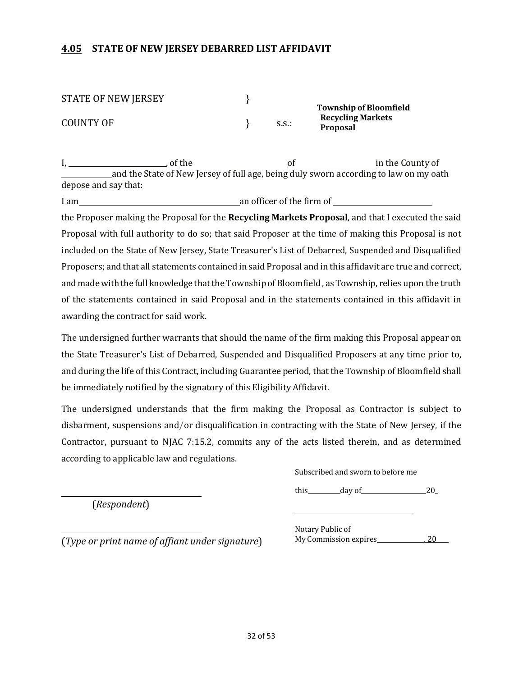#### **4.05 STATE OF NEW JERSEY DEBARRED LIST AFFIDAVIT**

| <b>STATE OF NEW JERSEY</b> |       |                               |
|----------------------------|-------|-------------------------------|
|                            |       | <b>Township of Bloomfield</b> |
| COUNTY OF                  |       | <b>Recycling Markets</b>      |
|                            | S.S.: | <b>Proposal</b>               |

I, , of the of in the County of and the State of New Jersey of full age, being duly sworn according to law on my oath depose and say that:

I am an officer of the firm of the Proposer making the Proposal for the **Recycling Markets Proposal**, and that I executed the said Proposal with full authority to do so; that said Proposer at the time of making this Proposal is not included on the State of New Jersey, State Treasurer's List of Debarred, Suspended and Disqualified Proposers; and that all statements contained in said Proposal and in this affidavit are true and correct, and made with the full knowledge that the Township of Bloomfield, as Township, relies upon the truth of the statements contained in said Proposal and in the statements contained in this affidavit in awarding the contract for said work.

The undersigned further warrants that should the name of the firm making this Proposal appear on the State Treasurer's List of Debarred, Suspended and Disqualified Proposers at any time prior to, and during the life of this Contract, including Guarantee period, that the Township of Bloomfield shall be immediately notified by the signatory of this Eligibility Affidavit.

The undersigned understands that the firm making the Proposal as Contractor is subject to disbarment, suspensions and/or disqualification in contracting with the State of New Jersey, if the Contractor, pursuant to NJAC 7:15.2, commits any of the acts listed therein, and as determined according to applicable law and regulations.

(*Respondent*)

Subscribed and sworn to before me

this  $\_\_\_\_\_\_\_\_\_\_\_\_\_\_\_\_20$ 

(*Type or print name of affiant under signature*)

Notary Public of My Commission expires , 20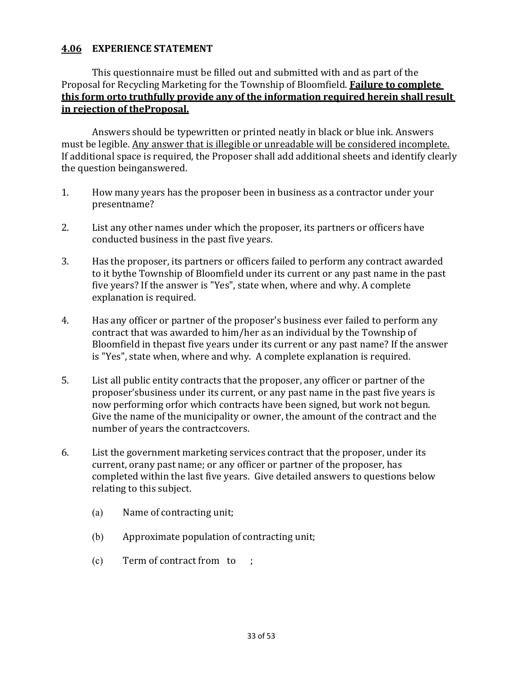#### **4.06 EXPERIENCE STATEMENT**

#### This questionnaire must be filled out and submitted with and as part of the Proposal for Recycling Marketing for the Township of Bloomfield. **Failure to complete this form orto truthfully provide any of the information required herein shall result in rejection of theProposal.**

Answers should be typewritten or printed neatly in black or blue ink. Answers must be legible. Any answer that is illegible or unreadable will be considered incomplete. If additional space is required, the Proposer shall add additional sheets and identify clearly the question beinganswered.

- 1. How many years has the proposer been in business as a contractor under your presentname?
- 2. List any other names under which the proposer, its partners or officers have conducted business in the past five years.
- 3. Has the proposer, its partners or officers failed to perform any contract awarded to it bythe Township of Bloomfield under its current or any past name in the past five years? If the answer is "Yes", state when, where and why. A complete explanation is required.
- 4. Has any officer or partner of the proposer's business ever failed to perform any contract that was awarded to him/her as an individual by the Township of Bloomfield in thepast five years under its current or any past name? If the answer is "Yes", state when, where and why. A complete explanation is required.
- 5. List all public entity contracts that the proposer, any officer or partner of the proposer'sbusiness under its current, or any past name in the past five years is now performing orfor which contracts have been signed, but work not begun. Give the name of the municipality or owner, the amount of the contract and the number of years the contractcovers.
- 6. List the government marketing services contract that the proposer, under its current, orany past name; or any officer or partner of the proposer, has completed within the last five years. Give detailed answers to questions below relating to this subject.
	- (a) Name of contracting unit;
	- (b) Approximate population of contracting unit;
	- $(c)$  Term of contract from to ;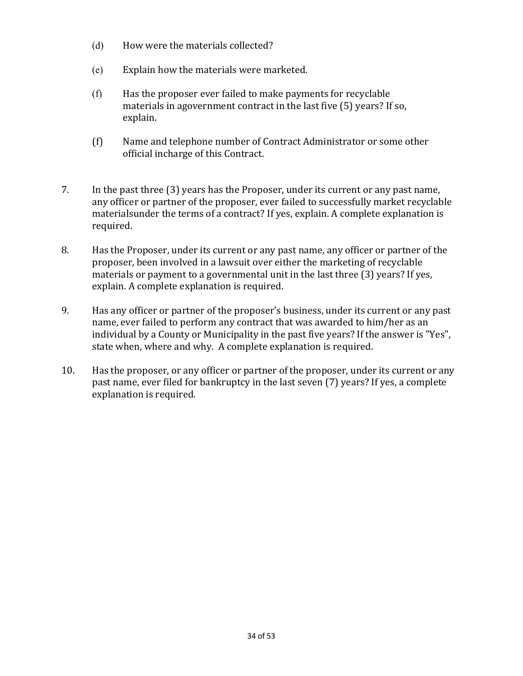- (d) How were the materials collected?
- (e) Explain how the materials were marketed.
- (f) Has the proposer ever failed to make payments for recyclable materials in agovernment contract in the last five (5) years? If so, explain.
- (f) Name and telephone number of Contract Administrator or some other official incharge of this Contract.
- 7. In the past three (3) years has the Proposer, under its current or any past name, any officer or partner of the proposer, ever failed to successfully market recyclable materialsunder the terms of a contract? If yes, explain. A complete explanation is required.
- 8. Has the Proposer, under its current or any past name, any officer or partner of the proposer, been involved in a lawsuit over either the marketing of recyclable materials or payment to a governmental unit in the last three  $(3)$  years? If yes, explain. A complete explanation is required.
- 9. Has any officer or partner of the proposer's business, under its current or any past name, ever failed to perform any contract that was awarded to him/her as an individual by a County or Municipality in the past five years? If the answer is "Yes", state when, where and why. A complete explanation is required.
- 10. Has the proposer, or any officer or partner of the proposer, under its current or any past name, ever filed for bankruptcy in the last seven (7) years? If yes, a complete explanation is required.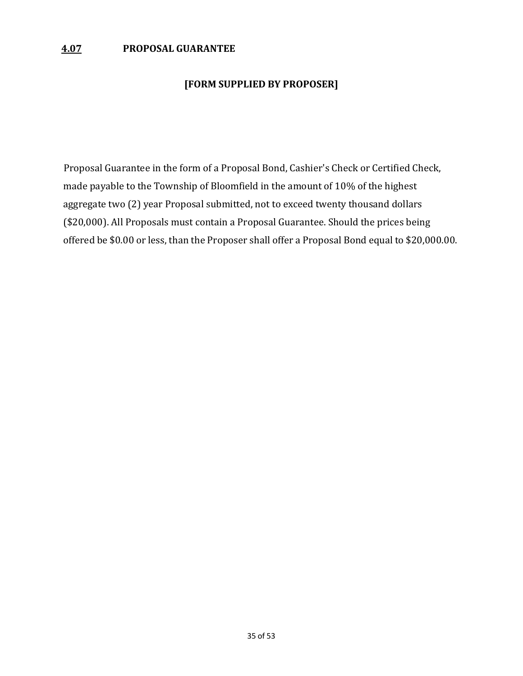#### **[FORM SUPPLIED BY PROPOSER]**

Proposal Guarantee in the form of a Proposal Bond, Cashier's Check or Certified Check, made payable to the Township of Bloomfield in the amount of 10% of the highest aggregate two (2) year Proposal submitted, not to exceed twenty thousand dollars (\$20,000). All Proposals must contain a Proposal Guarantee. Should the prices being offered be \$0.00 or less, than the Proposer shall offer a Proposal Bond equal to \$20,000.00.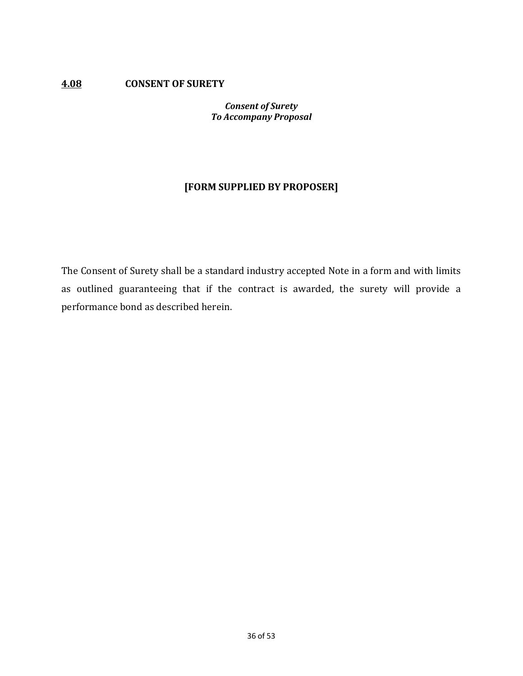#### **4.08 CONSENT OF SURETY**

#### *Consent of Surety To Accompany Proposal*

### **[FORM SUPPLIED BY PROPOSER]**

The Consent of Surety shall be a standard industry accepted Note in a form and with limits as outlined guaranteeing that if the contract is awarded, the surety will provide a performance bond as described herein.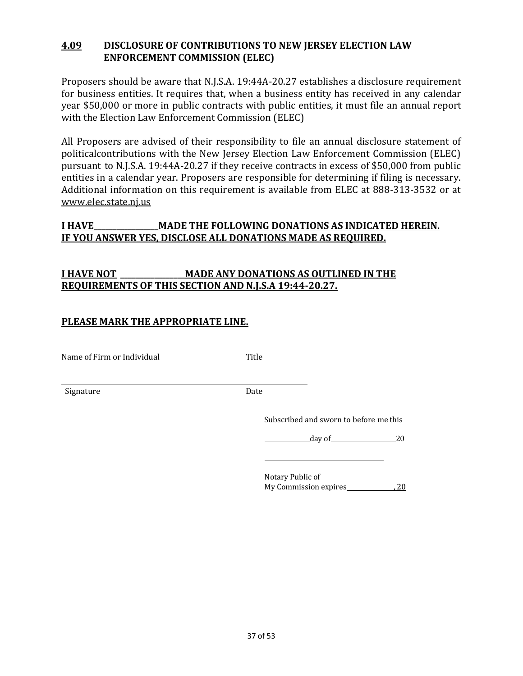#### **4.09 DISCLOSURE OF CONTRIBUTIONS TO NEW JERSEY ELECTION LAW ENFORCEMENT COMMISSION (ELEC)**

Proposers should be aware that N.J.S.A. 19:44A-20.27 establishes a disclosure requirement for business entities. It requires that, when a business entity has received in any calendar year \$50,000 or more in public contracts with public entities, it must file an annual report with the Election Law Enforcement Commission (ELEC)

All Proposers are advised of their responsibility to file an annual disclosure statement of politicalcontributions with the New Jersey Election Law Enforcement Commission (ELEC) pursuant to N.J.S.A. 19:44A-20.27 if they receive contracts in excess of \$50,000 from public entities in a calendar year. Proposers are responsible for determining if filing is necessary. Additional information on this requirement is available from ELEC at 888-313-3532 or at www.elec.state.nj.us

#### **I HAVE\_\_\_\_\_\_\_\_\_\_\_\_\_\_\_\_\_MADE THE FOLLOWING DONATIONS AS INDICATED HEREIN. IF YOU ANSWER YES, DISCLOSE ALL DONATIONS MADE AS REQUIRED.**

### **I HAVE NOT \_\_\_\_\_\_\_\_\_\_\_\_\_\_\_\_\_MADE ANY DONATIONS AS OUTLINED IN THE REQUIREMENTS OF THIS SECTION AND N.J.S.A 19:44-20.27.**

#### **PLEASE MARK THE APPROPRIATE LINE.**

Name of Firm or Individual Title

Signature Date

Subscribed and sworn to before me this

 $day of$  20

Notary Public of My Commission expires 60 120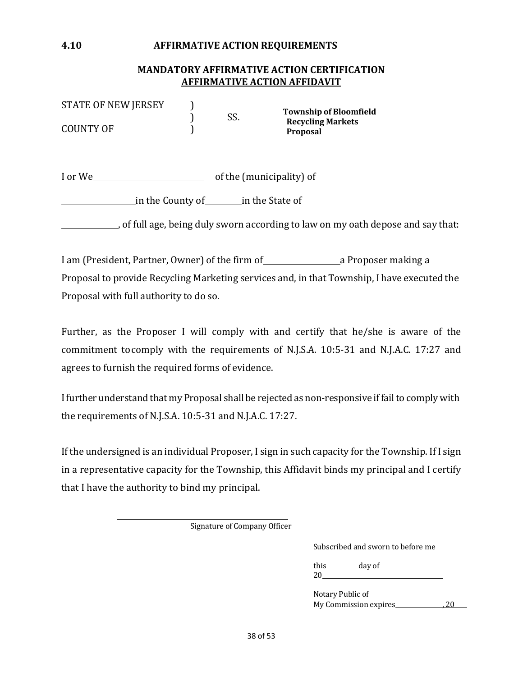#### **4.10 AFFIRMATIVE ACTION REQUIREMENTS**

#### **MANDATORY AFFIRMATIVE ACTION CERTIFICATION AFFIRMATIVE ACTION AFFIDAVIT**

| <b>STATE OF NEW JERSEY</b> |     | <b>Township of Bloomfield</b>               |
|----------------------------|-----|---------------------------------------------|
| COUNTY OF                  | SS. | <b>Recycling Markets</b><br><b>Proposal</b> |

I or We of the (municipality) of

in the County of in the State of

, of full age, being duly sworn according to law on my oath depose and say that:

I am (President, Partner, Owner) of the firm of a Proposer making a Proposal to provide Recycling Marketing services and, in that Township, I have executed the Proposal with full authority to do so.

Further, as the Proposer I will comply with and certify that he/she is aware of the commitment tocomply with the requirements of N.J.S.A. 10:5-31 and N.J.A.C. 17:27 and agrees to furnish the required forms of evidence.

I further understand that my Proposal shall be rejected as non-responsive if fail to comply with the requirements of N.J.S.A. 10:5-31 and N.J.A.C. 17:27.

If the undersigned is an individual Proposer, I sign in such capacity for the Township. If I sign in a representative capacity for the Township, this Affidavit binds my principal and I certify that I have the authority to bind my principal.

Signature of Company Officer

Subscribed and sworn to before me

this  $\_\_\_\_\$  day of  $\_\_\_\$ 20

Notary Public of My Commission expires , 20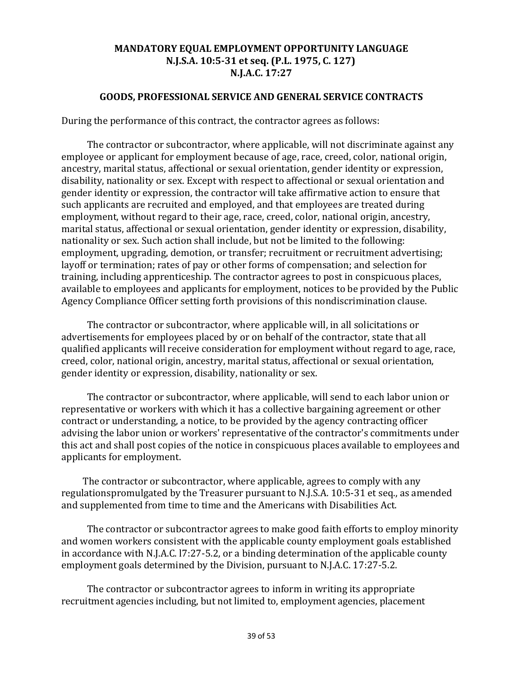#### **MANDATORY EQUAL EMPLOYMENT OPPORTUNITY LANGUAGE N.J.S.A. 10:5-31 et seq. (P.L. 1975, C. 127) N.J.A.C. 17:27**

#### **GOODS, PROFESSIONAL SERVICE AND GENERAL SERVICE CONTRACTS**

During the performance of this contract, the contractor agrees as follows:

The contractor or subcontractor, where applicable, will not discriminate against any employee or applicant for employment because of age, race, creed, color, national origin, ancestry, marital status, affectional or sexual orientation, gender identity or expression, disability, nationality or sex. Except with respect to affectional or sexual orientation and gender identity or expression, the contractor will take affirmative action to ensure that such applicants are recruited and employed, and that employees are treated during employment, without regard to their age, race, creed, color, national origin, ancestry, marital status, affectional or sexual orientation, gender identity or expression, disability, nationality or sex. Such action shall include, but not be limited to the following: employment, upgrading, demotion, or transfer; recruitment or recruitment advertising; layoff or termination; rates of pay or other forms of compensation; and selection for training, including apprenticeship. The contractor agrees to post in conspicuous places, available to employees and applicants for employment, notices to be provided by the Public Agency Compliance Officer setting forth provisions of this nondiscrimination clause.

The contractor or subcontractor, where applicable will, in all solicitations or advertisements for employees placed by or on behalf of the contractor, state that all qualified applicants will receive consideration for employment without regard to age, race, creed, color, national origin, ancestry, marital status, affectional or sexual orientation, gender identity or expression, disability, nationality or sex.

The contractor or subcontractor, where applicable, will send to each labor union or representative or workers with which it has a collective bargaining agreement or other contract or understanding, a notice, to be provided by the agency contracting officer advising the labor union or workers' representative of the contractor's commitments under this act and shall post copies of the notice in conspicuous places available to employees and applicants for employment.

The contractor or subcontractor, where applicable, agrees to comply with any regulationspromulgated by the Treasurer pursuant to N.J.S.A. 10:5-31 et seq., as amended and supplemented from time to time and the Americans with Disabilities Act.

The contractor or subcontractor agrees to make good faith efforts to employ minority and women workers consistent with the applicable county employment goals established in accordance with N.J.A.C. 17:27-5.2, or a binding determination of the applicable county employment goals determined by the Division, pursuant to N.J.A.C. 17:27-5.2.

The contractor or subcontractor agrees to inform in writing its appropriate recruitment agencies including, but not limited to, employment agencies, placement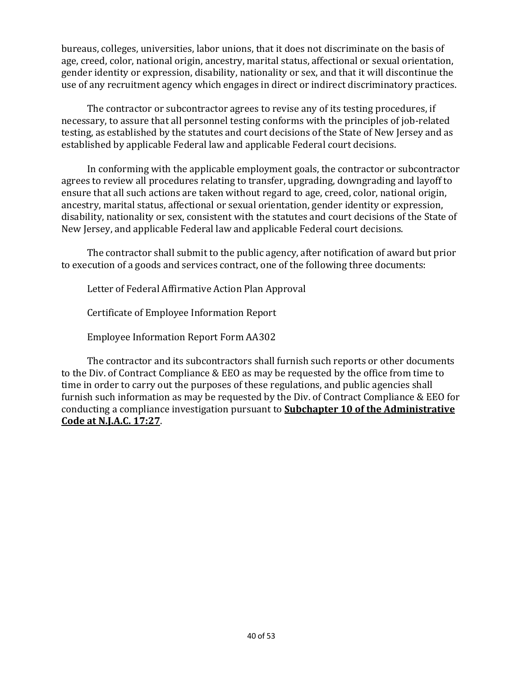bureaus, colleges, universities, labor unions, that it does not discriminate on the basis of age, creed, color, national origin, ancestry, marital status, affectional or sexual orientation, gender identity or expression, disability, nationality or sex, and that it will discontinue the use of any recruitment agency which engages in direct or indirect discriminatory practices.

The contractor or subcontractor agrees to revise any of its testing procedures, if necessary, to assure that all personnel testing conforms with the principles of job-related testing, as established by the statutes and court decisions of the State of New Jersey and as established by applicable Federal law and applicable Federal court decisions.

In conforming with the applicable employment goals, the contractor or subcontractor agrees to review all procedures relating to transfer, upgrading, downgrading and layoff to ensure that all such actions are taken without regard to age, creed, color, national origin, ancestry, marital status, affectional or sexual orientation, gender identity or expression, disability, nationality or sex, consistent with the statutes and court decisions of the State of New Jersey, and applicable Federal law and applicable Federal court decisions.

The contractor shall submit to the public agency, after notification of award but prior to execution of a goods and services contract, one of the following three documents:

Letter of Federal Affirmative Action Plan Approval

Certificate of Employee Information Report

Employee Information Report Form AA302

The contractor and its subcontractors shall furnish such reports or other documents to the Div. of Contract Compliance & EEO as may be requested by the office from time to time in order to carry out the purposes of these regulations, and public agencies shall furnish such information as may be requested by the Div. of Contract Compliance & EEO for conducting a compliance investigation pursuant to **Subchapter 10 of the Administrative Code at N.J.A.C. 17:27**.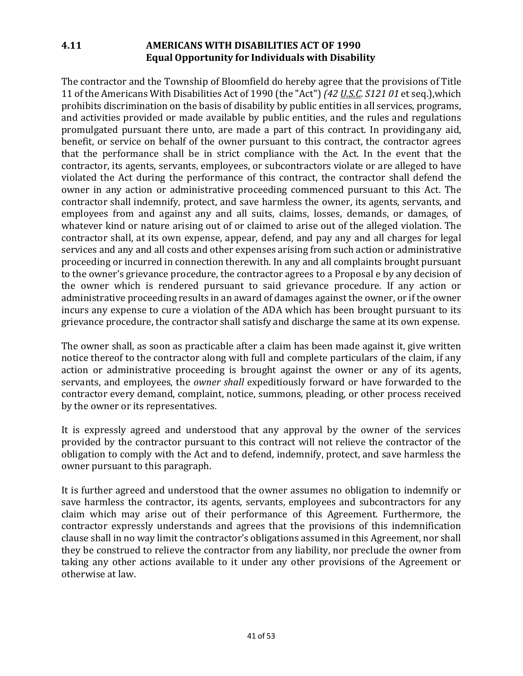### **4.11 AMERICANS WITH DISABILITIES ACT OF 1990 Equal Opportunity for Individuals with Disability**

The contractor and the Township of Bloomfield do hereby agree that the provisions of Title 11 of the Americans With Disabilities Act of 1990 (the "Act") *(42 U.S.C. S121 01* et seq.),which prohibits discrimination on the basis of disability by public entities in all services, programs, and activities provided or made available by public entities, and the rules and regulations promulgated pursuant there unto, are made a part of this contract. In providingany aid, benefit, or service on behalf of the owner pursuant to this contract, the contractor agrees that the performance shall be in strict compliance with the Act. In the event that the contractor, its agents, servants, employees, or subcontractors violate or are alleged to have violated the Act during the performance of this contract, the contractor shall defend the owner in any action or administrative proceeding commenced pursuant to this Act. The contractor shall indemnify, protect, and save harmless the owner, its agents, servants, and employees from and against any and all suits, claims, losses, demands, or damages, of whatever kind or nature arising out of or claimed to arise out of the alleged violation. The contractor shall, at its own expense, appear, defend, and pay any and all charges for legal services and any and all costs and other expenses arising from such action or administrative proceeding or incurred in connection therewith. In any and all complaints brought pursuant to the owner's grievance procedure, the contractor agrees to a Proposal e by any decision of the owner which is rendered pursuant to said grievance procedure. If any action or administrative proceeding results in an award of damages against the owner, or if the owner incurs any expense to cure a violation of the ADA which has been brought pursuant to its grievance procedure, the contractor shall satisfy and discharge the same at its own expense.

The owner shall, as soon as practicable after a claim has been made against it, give written notice thereof to the contractor along with full and complete particulars of the claim, if any action or administrative proceeding is brought against the owner or any of its agents, servants, and employees, the *owner shall* expeditiously forward or have forwarded to the contractor every demand, complaint, notice, summons, pleading, or other process received by the owner or its representatives.

It is expressly agreed and understood that any approval by the owner of the services provided by the contractor pursuant to this contract will not relieve the contractor of the obligation to comply with the Act and to defend, indemnify, protect, and save harmless the owner pursuant to this paragraph.

It is further agreed and understood that the owner assumes no obligation to indemnify or save harmless the contractor, its agents, servants, employees and subcontractors for any claim which may arise out of their performance of this Agreement. Furthermore, the contractor expressly understands and agrees that the provisions of this indemnification clause shall in no way limit the contractor's obligations assumed in this Agreement, nor shall they be construed to relieve the contractor from any liability, nor preclude the owner from taking any other actions available to it under any other provisions of the Agreement or otherwise at law.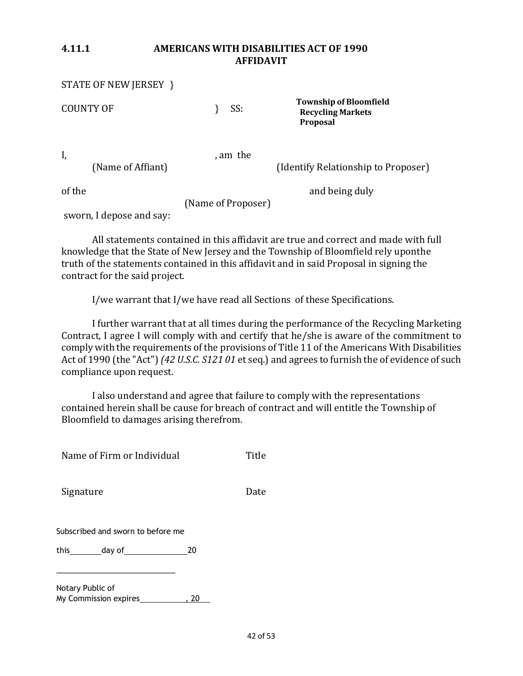#### **4.11.1 AMERICANS WITH DISABILITIES ACT OF 1990 AFFIDAVIT**

|                  | STATE OF NEW JERSEY } |                    |                                                                       |
|------------------|-----------------------|--------------------|-----------------------------------------------------------------------|
| <b>COUNTY OF</b> |                       | SS:                | <b>Township of Bloomfield</b><br><b>Recycling Markets</b><br>Proposal |
| I,               | (Name of Affiant)     | , am the           | (Identify Relationship to Proposer)                                   |
| of the           |                       | (Name of Proposer) | and being duly                                                        |

sworn, I depose and say:

All statements contained in this affidavit are true and correct and made with full knowledge that the State of New Jersey and the Township of Bloomfield rely uponthe truth of the statements contained in this affidavit and in said Proposal in signing the contract for the said project.

I/we warrant that I/we have read all Sections of these Specifications.

I further warrant that at all times during the performance of the Recycling Marketing Contract, I agree I will comply with and certify that he/she is aware of the commitment to comply with the requirements of the provisions of Title 11 of the Americans With Disabilities Act of 1990 (the "Act") *(42 U.S.C. S121 01* et seq.) and agrees to furnish the of evidence of such compliance upon request.

I also understand and agree that failure to comply with the representations contained herein shall be cause for breach of contract and will entitle the Township of Bloomfield to damages arising therefrom.

| Name of Firm or Individual               |    | Title |
|------------------------------------------|----|-------|
| Signature                                |    | Date  |
| Subscribed and sworn to before me        |    |       |
| this___________day of___________________ | 20 |       |
| Notary Public of                         |    |       |

My Commission expires **1998**, 20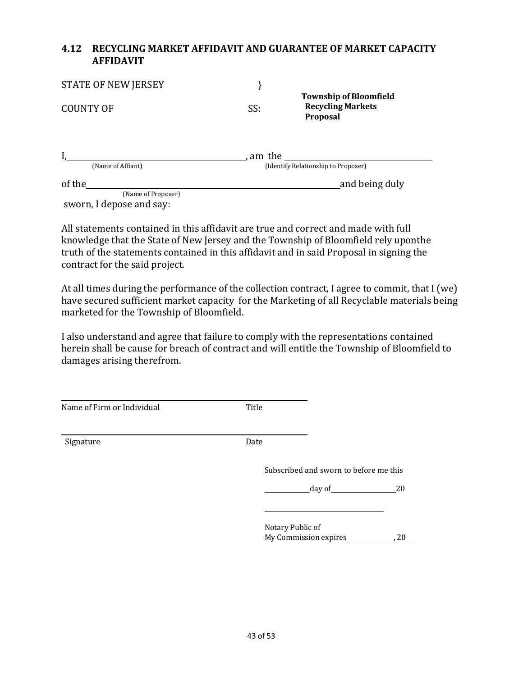#### **4.12 RECYCLING MARKET AFFIDAVIT AND GUARANTEE OF MARKET CAPACITY AFFIDAVIT**

| <b>STATE OF NEW JERSEY</b> |        |                                                                       |
|----------------------------|--------|-----------------------------------------------------------------------|
| <b>COUNTY OF</b>           | SS:    | <b>Township of Bloomfield</b><br><b>Recycling Markets</b><br>Proposal |
|                            | am the |                                                                       |
| (Name of Affiant)          |        | (Identify Relationship to Proposer)                                   |
| of the                     |        | and being duly                                                        |
| (Name of Proposer)         |        |                                                                       |
| sworn, I depose and say:   |        |                                                                       |

All statements contained in this affidavit are true and correct and made with full knowledge that the State of New Jersey and the Township of Bloomfield rely uponthe truth of the statements contained in this affidavit and in said Proposal in signing the contract for the said project.

At all times during the performance of the collection contract, I agree to commit, that I (we) have secured sufficient market capacity for the Marketing of all Recyclable materials being marketed for the Township of Bloomfield.

I also understand and agree that failure to comply with the representations contained herein shall be cause for breach of contract and will entitle the Township of Bloomfield to damages arising therefrom.

| Name of Firm or Individual | Title                                  |    |
|----------------------------|----------------------------------------|----|
| Signature                  | Date                                   |    |
|                            | Subscribed and sworn to before me this |    |
|                            | day of $\qquad \qquad$                 | 20 |
|                            |                                        |    |
|                            | Notary Public of                       |    |
|                            | My Commission expires_                 | 20 |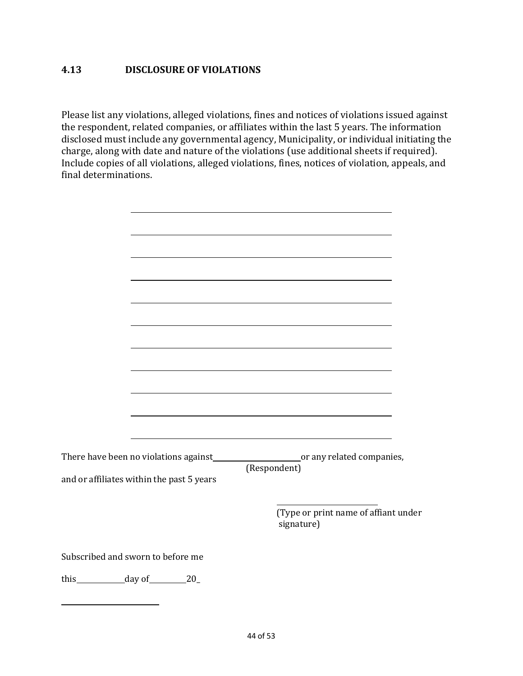### **4.13 DISCLOSURE OF VIOLATIONS**

Please list any violations, alleged violations, fines and notices of violations issued against the respondent, related companies, or affiliates within the last 5 years. The information disclosed must include any governmental agency, Municipality, or individual initiating the charge, along with date and nature of the violations (use additional sheets if required). Include copies of all violations, alleged violations, fines, notices of violation, appeals, and final determinations.

|                | and or affiliates within the past 5 years | There have been no violations against_____________________________or any related companies,<br>(Respondent) |
|----------------|-------------------------------------------|-------------------------------------------------------------------------------------------------------------|
|                |                                           | (Type or print name of affiant under<br>signature)                                                          |
|                | Subscribed and sworn to before me         |                                                                                                             |
| this day of 20 |                                           |                                                                                                             |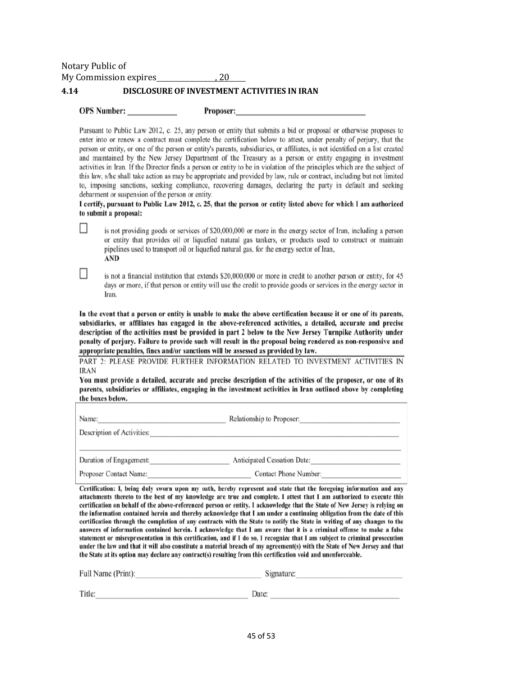Notary Public of My Commission expires 6.20

#### **4.14 DISCLOSURE OF INVESTMENT ACTIVITIES IN IRAN**

 $\Box$ 

 $\Box$ 

Proposer:

Pursuant to Public Law 2012, c. 25, any person or entity that submits a bid or proposal or otherwise proposes to enter into or renew a contract must complete the certification below to attest, under penalty of perjury, that the person or entity, or one of the person or entity's parents, subsidiaries, or affiliates, is not identified on a list created and maintained by the New Jersey Department of the Treasury as a person or entity engaging in investment activities in Iran. If the Director finds a person or entity to be in violation of the principles which are the subject of this law, s/he shall take action as may be appropriate and provided by law, rule or contract, including but not limited to, imposing sanctions, seeking compliance, recovering damages, declaring the party in default and seeking debarment or suspension of the person or entity.

I certify, pursuant to Public Law 2012, c. 25, that the person or entity listed above for which I am authorized to submit a proposal:

is not providing goods or services of \$20,000,000 or more in the energy sector of Iran, including a person or entity that provides oil or liquefied natural gas tankers, or products used to construct or maintain pipelines used to transport oil or liquefied natural gas, for the energy sector of Iran, **AND** 

is not a financial institution that extends \$20,000,000 or more in credit to another person or entity, for 45 days or more, if that person or entity will use the credit to provide goods or services in the energy sector in Iran.

In the event that a person or entity is unable to make the above certification because it or one of its parents, subsidiaries, or affiliates has engaged in the above-referenced activities, a detailed, accurate and precise description of the activities must be provided in part 2 below to the New Jersey Turnpike Authority under penalty of perjury. Failure to provide such will result in the proposal being rendered as non-responsive and appropriate penalties, fines and/or sanctions will be assessed as provided by law.

PART 2: PLEASE PROVIDE FURTHER INFORMATION RELATED TO INVESTMENT ACTIVITIES IN **IRAN** 

You must provide a detailed, accurate and precise description of the activities of the proposer, or one of its parents, subsidiaries or affiliates, engaging in the investment activities in Iran outlined above by completing the boxes below.

| Name:<br>Description of Activities: | Relationship to Proposer:          |
|-------------------------------------|------------------------------------|
| Duration of Engagement:             | <b>Anticipated Cessation Date:</b> |
| Proposer Contact Name:              | <b>Contact Phone Number:</b>       |

Certification: I, being duly sworn upon my oath, hereby represent and state that the foregoing information and any attachments thereto to the best of my knowledge are true and complete. I attest that I am authorized to execute this certification on behalf of the above-referenced person or entity. I acknowledge that the State of New Jersey is relying on the information contained herein and thereby acknowledge that I am under a continuing obligation from the date of this certification through the completion of any contracts with the State to notify the State in writing of any changes to the answers of information contained herein. I acknowledge that I am aware that it is a criminal offense to make a false statement or misrepresentation in this certification, and if I do so, I recognize that I am subject to criminal prosecution under the law and that it will also constitute a material breach of my agreement(s) with the State of New Jersey and that the State at its option may declare any contract(s) resulting from this certification void and unenforceable.

| Full Name (Print): | Signature: |  |
|--------------------|------------|--|
|                    |            |  |
| Title <sup>.</sup> | Date:      |  |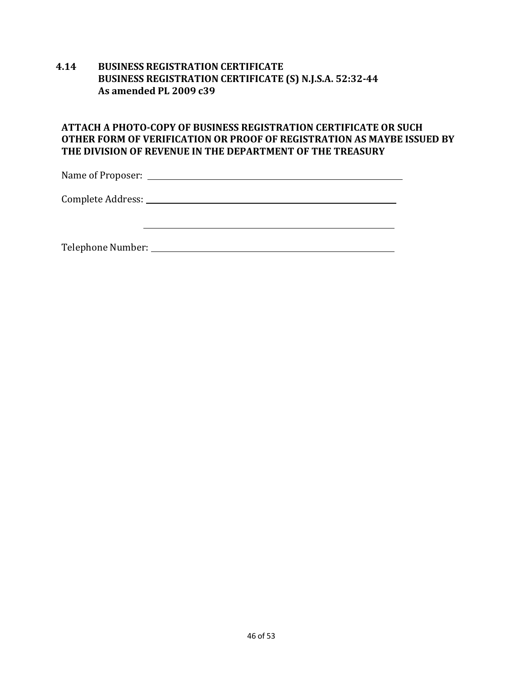#### **4.14 BUSINESS REGISTRATION CERTIFICATE BUSINESS REGISTRATION CERTIFICATE (S) N.J.S.A. 52:32-44 As amended PL 2009 c39**

#### **ATTACH A PHOTO-COPY OF BUSINESS REGISTRATION CERTIFICATE OR SUCH OTHER FORM OF VERIFICATION OR PROOF OF REGISTRATION AS MAYBE ISSUED BY**  THE DIVISION OF REVENUE IN THE DEPARTMENT OF THE TREASURY

Name of Proposer: 

Complete Address: 

Telephone Number: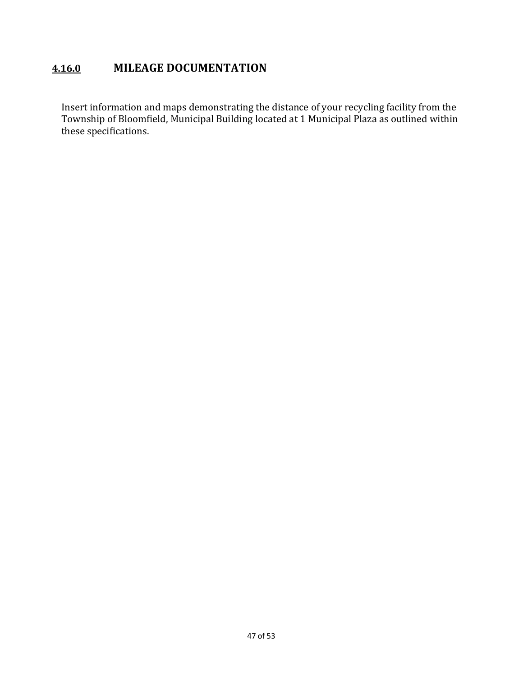### **4.16.0 MILEAGE DOCUMENTATION**

Insert information and maps demonstrating the distance of your recycling facility from the Township of Bloomfield, Municipal Building located at 1 Municipal Plaza as outlined within these specifications.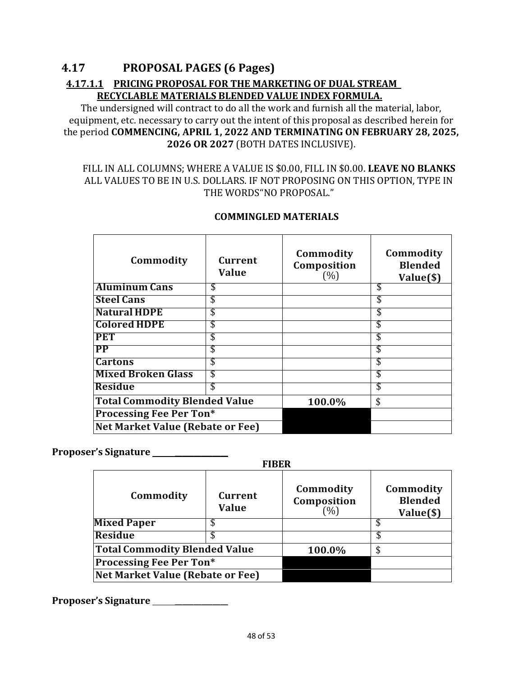## **4.17 PROPOSAL PAGES (6 Pages) 4.17.1.1 PRICING PROPOSAL FOR THE MARKETING OF DUAL STREAM RECYCLABLE MATERIALS BLENDED VALUE INDEX FORMULA.**

The undersigned will contract to do all the work and furnish all the material, labor, equipment, etc. necessary to carry out the intent of this proposal as described herein for the period **COMMENCING, APRIL 1, 2022 AND TERMINATING ON FEBRUARY 28, 2025, 2026 OR 2027** (BOTH DATES INCLUSIVE).

#### FILL IN ALL COLUMNS; WHERE A VALUE IS \$0.00, FILL IN \$0.00. LEAVE NO BLANKS ALL VALUES TO BE IN U.S. DOLLARS. IF NOT PROPOSING ON THIS OPTION, TYPE IN THE WORDS"NO PROPOSAL."

| Commodity                               | Current<br><b>Value</b> | Commodity<br>Composition<br>(%) | Commodity<br><b>Blended</b><br>Value(\$) |
|-----------------------------------------|-------------------------|---------------------------------|------------------------------------------|
| <b>Aluminum Cans</b>                    | S                       |                                 | \$                                       |
| <b>Steel Cans</b>                       | \$                      |                                 |                                          |
| <b>Natural HDPE</b>                     | \$                      |                                 |                                          |
| <b>Colored HDPE</b>                     | \$                      |                                 | \$                                       |
| <b>PET</b>                              | \$                      |                                 |                                          |
| <b>PP</b>                               | \$                      |                                 |                                          |
| <b>Cartons</b>                          | \$                      |                                 | \$                                       |
| <b>Mixed Broken Glass</b>               | \$                      |                                 |                                          |
| <b>Residue</b>                          | \$                      |                                 | \$                                       |
| <b>Total Commodity Blended Value</b>    |                         | 100.0%                          | \$                                       |
| <b>Processing Fee Per Ton*</b>          |                         |                                 |                                          |
| <b>Net Market Value (Rebate or Fee)</b> |                         |                                 |                                          |

#### **COMMINGLED MATERIALS**

### **Proposer's Signature** \_\_\_\_\_\_\_\_\_\_\_\_\_\_

**FIBER**

| Commodity                            | Current<br><b>Value</b> | Commodity<br>Composition<br>(%) | Commodity<br><b>Blended</b><br>Value(\$) |
|--------------------------------------|-------------------------|---------------------------------|------------------------------------------|
| <b>Mixed Paper</b>                   |                         |                                 |                                          |
| <b>Residue</b>                       |                         |                                 |                                          |
| <b>Total Commodity Blended Value</b> |                         | 100.0%                          |                                          |
| <b>Processing Fee Per Ton*</b>       |                         |                                 |                                          |
| Net Market Value (Rebate or Fee)     |                         |                                 |                                          |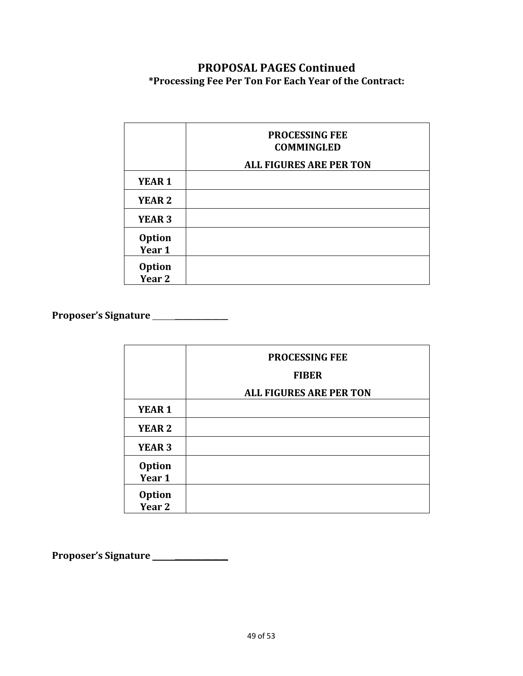### **PROPOSAL PAGES Continued \*Processing Fee Per Ton For Each Year of the Contract:**

|                         | <b>PROCESSING FEE</b><br><b>COMMINGLED</b> |
|-------------------------|--------------------------------------------|
|                         | <b>ALL FIGURES ARE PER TON</b>             |
| YEAR <sub>1</sub>       |                                            |
| <b>YEAR 2</b>           |                                            |
| <b>YEAR 3</b>           |                                            |
| <b>Option</b><br>Year 1 |                                            |
| <b>Option</b><br>Year 2 |                                            |

**Proposer's Signature** \_\_\_\_\_\_\_\_\_\_\_\_\_\_

|                             | <b>PROCESSING FEE</b><br><b>FIBER</b><br><b>ALL FIGURES ARE PER TON</b> |
|-----------------------------|-------------------------------------------------------------------------|
| YEAR <sub>1</sub>           |                                                                         |
| <b>YEAR 2</b>               |                                                                         |
| <b>YEAR 3</b>               |                                                                         |
| <b>Option</b><br>Year 1     |                                                                         |
| Option<br>Year <sub>2</sub> |                                                                         |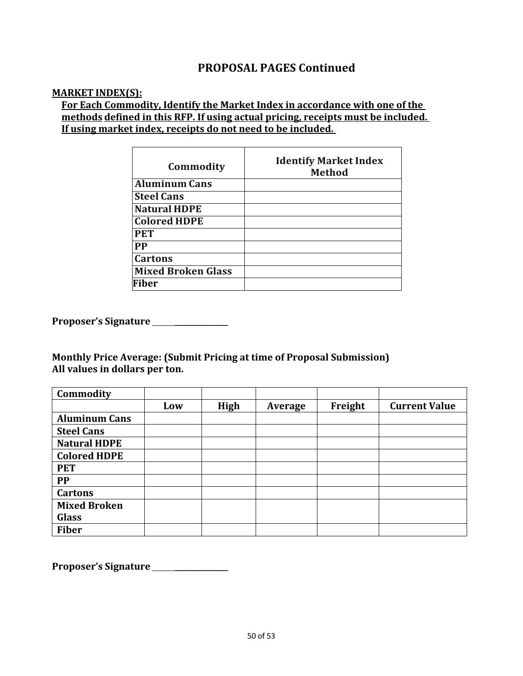### **PROPOSAL PAGES Continued**

#### **MARKET INDEX(S):**

### For Each Commodity, Identify the Market Index in accordance with one of the **methods defined in this RFP.** If using actual pricing, receipts must be included. **If using market index, receipts do not need to be included.**

| Commodity                 | <b>Identify Market Index</b><br><b>Method</b> |
|---------------------------|-----------------------------------------------|
| <b>Aluminum Cans</b>      |                                               |
| <b>Steel Cans</b>         |                                               |
| <b>Natural HDPE</b>       |                                               |
| <b>Colored HDPE</b>       |                                               |
| <b>PET</b>                |                                               |
| <b>PP</b>                 |                                               |
| <b>Cartons</b>            |                                               |
| <b>Mixed Broken Glass</b> |                                               |
| <b>Fiber</b>              |                                               |

**Proposer's Signature** \_\_\_\_\_\_\_\_\_\_\_\_\_\_

**Monthly Price Average: (Submit Pricing at time of Proposal Submission)** All values in dollars per ton.

| Commodity            |     |      |         |         |                      |
|----------------------|-----|------|---------|---------|----------------------|
|                      | Low | High | Average | Freight | <b>Current Value</b> |
| <b>Aluminum Cans</b> |     |      |         |         |                      |
| <b>Steel Cans</b>    |     |      |         |         |                      |
| <b>Natural HDPE</b>  |     |      |         |         |                      |
| <b>Colored HDPE</b>  |     |      |         |         |                      |
| <b>PET</b>           |     |      |         |         |                      |
| <b>PP</b>            |     |      |         |         |                      |
| <b>Cartons</b>       |     |      |         |         |                      |
| <b>Mixed Broken</b>  |     |      |         |         |                      |
| <b>Glass</b>         |     |      |         |         |                      |
| <b>Fiber</b>         |     |      |         |         |                      |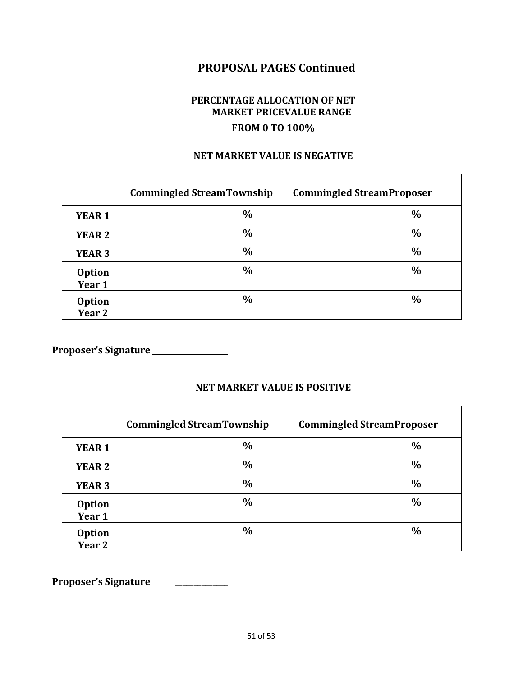### **PROPOSAL PAGES Continued**

### **PERCENTAGE ALLOCATION OF NET MARKET PRICEVALUE RANGE FROM 0 TO 100%**

### **NET MARKET VALUE IS NEGATIVE**

|                                    | <b>Commingled StreamTownship</b> | <b>Commingled StreamProposer</b> |
|------------------------------------|----------------------------------|----------------------------------|
| <b>YEAR 1</b>                      | $\frac{0}{0}$                    | $\frac{0}{0}$                    |
| <b>YEAR 2</b>                      | $\frac{0}{0}$                    | $\frac{0}{0}$                    |
| <b>YEAR 3</b>                      | $\frac{0}{0}$                    | $\frac{0}{0}$                    |
| <b>Option</b><br>Year 1            | $\frac{0}{0}$                    | $\frac{0}{0}$                    |
| <b>Option</b><br>Year <sub>2</sub> | $\frac{0}{0}$                    | $\frac{0}{0}$                    |

**Proposer's Signature** \_\_\_\_\_\_\_\_\_\_\_\_\_\_

#### **NET MARKET VALUE IS POSITIVE**

|                                    | <b>Commingled StreamTownship</b> | <b>Commingled StreamProposer</b> |
|------------------------------------|----------------------------------|----------------------------------|
| <b>YEAR 1</b>                      | $\frac{0}{0}$                    | $\frac{0}{0}$                    |
| <b>YEAR 2</b>                      | $\frac{0}{0}$                    | $\frac{0}{0}$                    |
| <b>YEAR 3</b>                      | $\frac{0}{0}$                    | $\frac{0}{0}$                    |
| <b>Option</b><br>Year 1            | $\frac{0}{0}$                    | $\frac{0}{0}$                    |
| <b>Option</b><br>Year <sub>2</sub> | $\frac{0}{0}$                    | $\frac{0}{0}$                    |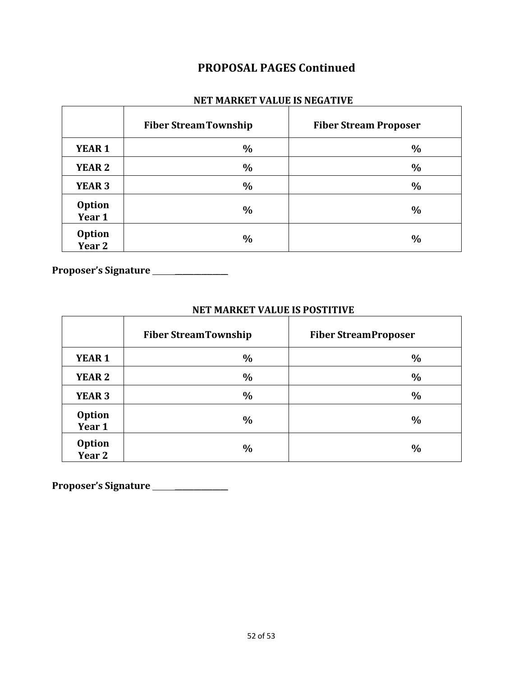### **PROPOSAL PAGES Continued**

#### **NET MARKET VALUE IS NEGATIVE**

|                         | <b>Fiber Stream Township</b> | <b>Fiber Stream Proposer</b> |
|-------------------------|------------------------------|------------------------------|
| <b>YEAR 1</b>           | $\frac{0}{0}$                | $\frac{0}{0}$                |
| <b>YEAR 2</b>           | $\%$                         | $\frac{0}{0}$                |
| <b>YEAR 3</b>           | $\frac{0}{0}$                | $\frac{0}{0}$                |
| <b>Option</b><br>Year 1 | $\frac{0}{0}$                | $\frac{0}{0}$                |
| <b>Option</b><br>Year 2 | $\%$                         | $\frac{0}{0}$                |

**Proposer's Signature** \_\_\_\_\_\_\_\_\_\_\_\_\_\_

# **NET MARKET VALUE IS POSTITIVE**

|                                    | <b>Fiber StreamTownship</b> | <b>Fiber StreamProposer</b> |
|------------------------------------|-----------------------------|-----------------------------|
| <b>YEAR 1</b>                      | $\frac{0}{0}$               | $\frac{0}{0}$               |
| <b>YEAR 2</b>                      | $\frac{0}{0}$               | $\frac{0}{0}$               |
| <b>YEAR 3</b>                      | $\frac{0}{0}$               | $\frac{0}{0}$               |
| <b>Option</b><br>Year 1            | $\frac{0}{0}$               | $\frac{0}{0}$               |
| <b>Option</b><br>Year <sub>2</sub> | $\%$                        | $\frac{0}{0}$               |